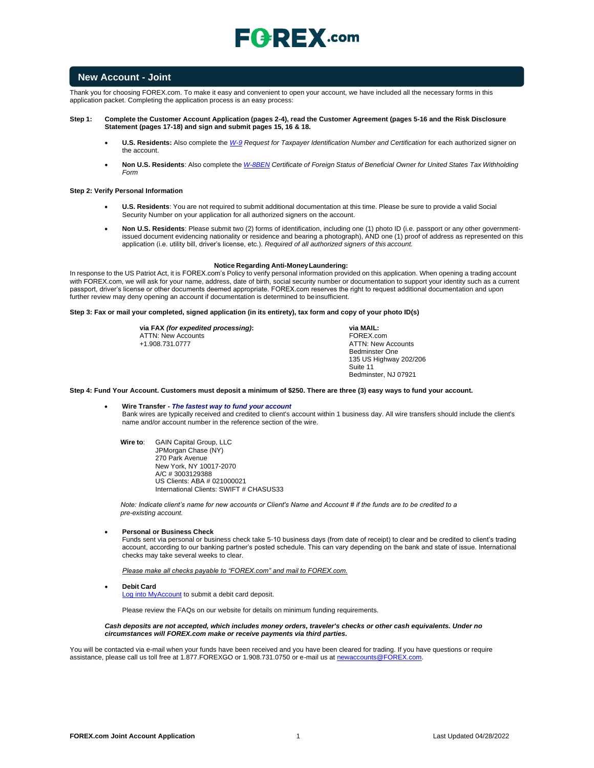

### **New Account - Joint**

Thank you for choosing FOREX.com. To make it easy and convenient to open your account, we have included all the necessary forms in this application packet. Completing the application process is an easy process:

#### **Step 1: Complete the Customer Account Application (pages 2-4), read the Customer Agreement (pages 5-16 and the Risk Disclosure Statement (pages 17-18) and sign and submit pages 15, 16 & 18.**

- **U.S. Residents:** Also complete the *[W-9](https://www.irs.gov/pub/irs-pdf/fw9.pdf) Request for Taxpayer Identification Number and Certification* for each authorized signer on the account.
- Non U.S. Residents: Also complete the [W-8BEN](https://www.irs.gov/pub/irs-pdf/fw8ben.pdf) Certificate of Foreign Status of Beneficial Owner for United States Tax Withholding *Form*

#### **Step 2: Verify Personal Information**

- **U.S. Residents**: You are not required to submit additional documentation at this time. Please be sure to provide a valid Social Security Number on your application for all authorized signers on the account.
- **Non U.S. Residents**: Please submit two (2) forms of identification, including one (1) photo ID (i.e. passport or any other governmentissued document evidencing nationality or residence and bearing a photograph), AND one (1) proof of address as represented on this application (i.e. utility bill, driver's license, etc.). *Required of all authorized signers of this account.*

#### **Notice Regarding Anti-MoneyLaundering:**

In response to the US Patriot Act, it is FOREX.com's Policy to verify personal information provided on this application. When opening a trading account with FOREX.com, we will ask for your name, address, date of birth, social security number or documentation to support your identity such as a current passport, driver's license or other documents deemed appropriate. FOREX.com reserves the right to request additional documentation and upon further review may deny opening an account if documentation is determined to be insufficient.

#### **Step 3: Fax or mail your completed, signed application (in its entirety), tax form and copy of your photo ID(s)**

**via FAX** *(for expedited processing)***:** ATTN: New Accounts +1.908.731.0777

**via MAIL:** FOREX.com ATTN: New Accounts Bedminster One 135 US Highway 202/206 Suite 11 Bedminster, NJ 07921

#### **Step 4: Fund Your Account. Customers must deposit a minimum of \$250. There are three (3) easy ways to fund your account.**

• **Wire Transfer -** *The fastest way to fund your account* Bank wires are typically received and credited to client's account within 1 business day. All wire transfers should include the client's name and/or account number in the reference section of the wire.

**Wire to**: GAIN Capital Group, LLC JPMorgan Chase (NY) 270 Park Avenue New York, NY 10017-2070 A/C # 3003129388 US Clients: ABA # 021000021 International Clients: SWIFT # CHASUS33

*Note: Indicate client's name for new accounts or Client's Name and Account # if the funds are to be credited to a pre-existing account.*

#### • **Personal or Business Check**

Funds sent via personal or business check take 5-10 business days (from date of receipt) to clear and be credited to client's trading account, according to our banking partner's posted schedule. This can vary depending on the bank and state of issue. International checks may take several weeks to clear.

*Please make all checks payable to "FOREX.com" and mail to FOREX.com.*

• **Debit Card**

[Log into MyAccount](http://www.forex.com/myaccount.html) to submit a debit card deposit.

Please review the FAQs on our website for details on minimum funding requirements.

#### *Cash deposits are not accepted, which includes money orders, traveler's checks or other cash equivalents. Under no circumstances will FOREX.com make or receive payments via third parties.*

You will be contacted via e-mail when your funds have been received and you have been cleared for trading. If you have questions or require assistance, please call us toll free at 1.877.FOREXGO or 1.908.731.0750 or e-mail us a[t newaccounts@FOREX.com.](mailto:info@fxadvantage.com)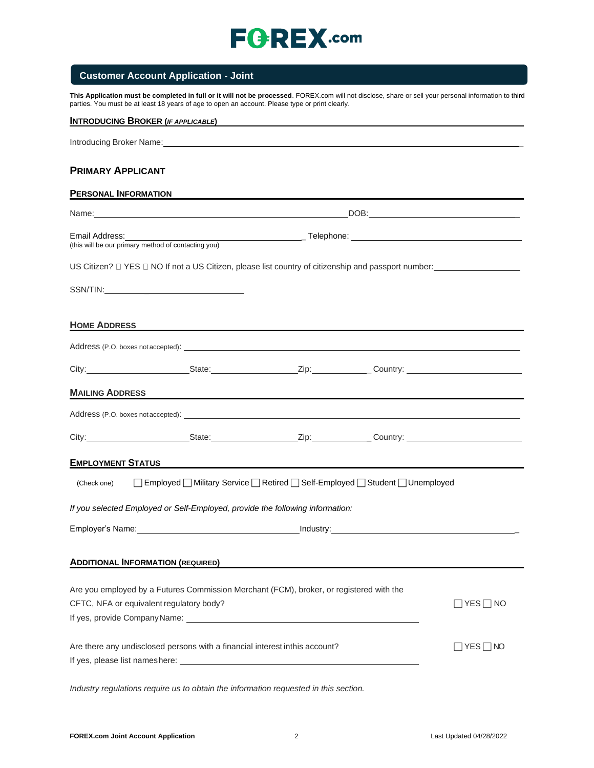## **Customer Account Application - Joint**

**This Application must be completed in full or it will not be processed**. FOREX.com will not disclose, share or sell your personal information to third parties. You must be at least 18 years of age to open an account. Please type or print clearly.

| <b>INTRODUCING BROKER (IF APPLICABLE)</b>                                                                                                                                                                                            |  |  |
|--------------------------------------------------------------------------------------------------------------------------------------------------------------------------------------------------------------------------------------|--|--|
| Introducing Broker Name: Manual According to the Contract of the Contract of the Contract of the Contract of the Contract of the Contract of the Contract of the Contract of the Contract of the Contract of the Contract of t       |  |  |
| <b>PRIMARY APPLICANT</b>                                                                                                                                                                                                             |  |  |
| <b>PERSONAL INFORMATION</b>                                                                                                                                                                                                          |  |  |
| Name: Name: Name: Name: Name: Name: Name: Name: Name: Name: Name: Name: Name: Name: Name: Name: Name: Name: Name: Name: Name: Name: Name: Name: Name: Name: Name: Name: Name: Name: Name: Name: Name: Name: Name: Name: Name:        |  |  |
|                                                                                                                                                                                                                                      |  |  |
|                                                                                                                                                                                                                                      |  |  |
|                                                                                                                                                                                                                                      |  |  |
|                                                                                                                                                                                                                                      |  |  |
| HOME ADDRESS <b>HOME ADDRESS</b>                                                                                                                                                                                                     |  |  |
|                                                                                                                                                                                                                                      |  |  |
| City: City: City: City: City: City: Country: Country: Country: Country: Country: Country: Country: Country: Country: Country: Country: Country: Country: Country: Country: Country: Country: Country: Country: Country: Countr       |  |  |
| MAILING ADDRESS <b>And All Andrew Contract Contract Contract Contract Contract Contract Contract Contract Contract Contract Contract Contract Contract Contract Contract Contract Contract Contract Contract Contract Contract C</b> |  |  |
|                                                                                                                                                                                                                                      |  |  |
|                                                                                                                                                                                                                                      |  |  |
| <b>EMPLOYMENT STATUS EXECUTIVE SERVICE SERVICE SERVICE SERVICE SERVICE SERVICE SERVICE SERVICE SERVICE SERVICE S</b>                                                                                                                 |  |  |
| □ Employed ■ Military Service ■ Retired ■ Self-Employed ■ Student ■ Unemployed<br>(Check one)                                                                                                                                        |  |  |
| If you selected Employed or Self-Employed, provide the following information:                                                                                                                                                        |  |  |
| Employer's Name: 1990 Manual Company of the Manual Company of the Manual Company of the Manual Company of the Manual Company of the Manual Company of the Manual Company of the Manual Company of the Manual Company of the Ma       |  |  |
| <b>ADDITIONAL INFORMATION (REQUIRED)</b>                                                                                                                                                                                             |  |  |
| Are you employed by a Futures Commission Merchant (FCM), broker, or registered with the                                                                                                                                              |  |  |
| CFTC, NFA or equivalent regulatory body?                                                                                                                                                                                             |  |  |
|                                                                                                                                                                                                                                      |  |  |
| Are there any undisclosed persons with a financial interest inthis account?<br>] YES ∏ NO                                                                                                                                            |  |  |
|                                                                                                                                                                                                                                      |  |  |

*Industry regulations require us to obtain the information requested in this section.*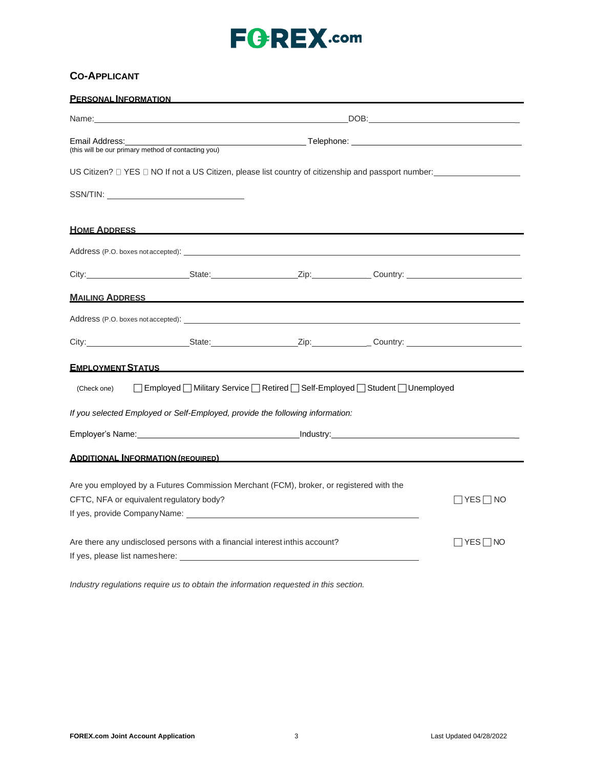## **CO-APPLICANT**

| <b>PERSONAL INFORMATION</b>                                                                                                                                                                                                          |                                                     |                                                                                |  |  |
|--------------------------------------------------------------------------------------------------------------------------------------------------------------------------------------------------------------------------------------|-----------------------------------------------------|--------------------------------------------------------------------------------|--|--|
|                                                                                                                                                                                                                                      |                                                     |                                                                                |  |  |
| Email Address:                                                                                                                                                                                                                       | (this will be our primary method of contacting you) |                                                                                |  |  |
|                                                                                                                                                                                                                                      |                                                     |                                                                                |  |  |
|                                                                                                                                                                                                                                      |                                                     |                                                                                |  |  |
| <u>HOME ADDRESS NOTE</u>                                                                                                                                                                                                             |                                                     |                                                                                |  |  |
| Address (P.O. boxes not accepted): Notified that the contract of the contract of the contract of the contract of the contract of the contract of the contract of the contract of the contract of the contract of the contract        |                                                     |                                                                                |  |  |
| City: City: City: City: Current Country: Country: Country: Country: Country: Country: Country: Country: Country: Country: Country: Country: Country: Country: Country: Country: Country: Country: Country: Country: Country: C       |                                                     |                                                                                |  |  |
| <u>MAILING ADDRESS AND A STRING AND A STRING AND A STRING AND A STRING AND A STRING AND A STRING AND A STRING AND A STRING AND A STRING AND A STRING AND A STRING AND A STRING AND A STRING AND A STRING AND A STRING AND A STRI</u> |                                                     |                                                                                |  |  |
| Address (P.O. boxes not accepted): Notified a state of the state of the state of the state of the state of the state of the state of the state of the state of the state of the state of the state of the state of the state o       |                                                     |                                                                                |  |  |
|                                                                                                                                                                                                                                      |                                                     |                                                                                |  |  |
| <b>EMPLOYMENT STATUS AND RESIDENT STATUS</b>                                                                                                                                                                                         |                                                     |                                                                                |  |  |
| (Check one)                                                                                                                                                                                                                          |                                                     | □ Employed ■ Military Service ■ Retired ■ Self-Employed ■ Student ■ Unemployed |  |  |
| If you selected Employed or Self-Employed, provide the following information:                                                                                                                                                        |                                                     |                                                                                |  |  |
| Employer's Name: example and the set of the set of the set of the set of the set of the set of the set of the set of the set of the set of the set of the set of the set of the set of the set of the set of the set of the se       |                                                     |                                                                                |  |  |
| <b>ADDITIONAL INFORMATION (REQUIRED)</b>                                                                                                                                                                                             |                                                     |                                                                                |  |  |
|                                                                                                                                                                                                                                      |                                                     |                                                                                |  |  |
| Are you employed by a Futures Commission Merchant (FCM), broker, or registered with the<br>CFTC, NFA or equivalent regulatory body?<br>∣YES∏ NO                                                                                      |                                                     |                                                                                |  |  |
|                                                                                                                                                                                                                                      |                                                     |                                                                                |  |  |
| Are there any undisclosed persons with a financial interest inthis account?<br>∏YES∏NO                                                                                                                                               |                                                     |                                                                                |  |  |
|                                                                                                                                                                                                                                      |                                                     |                                                                                |  |  |

*Industry regulations require us to obtain the information requested in this section.*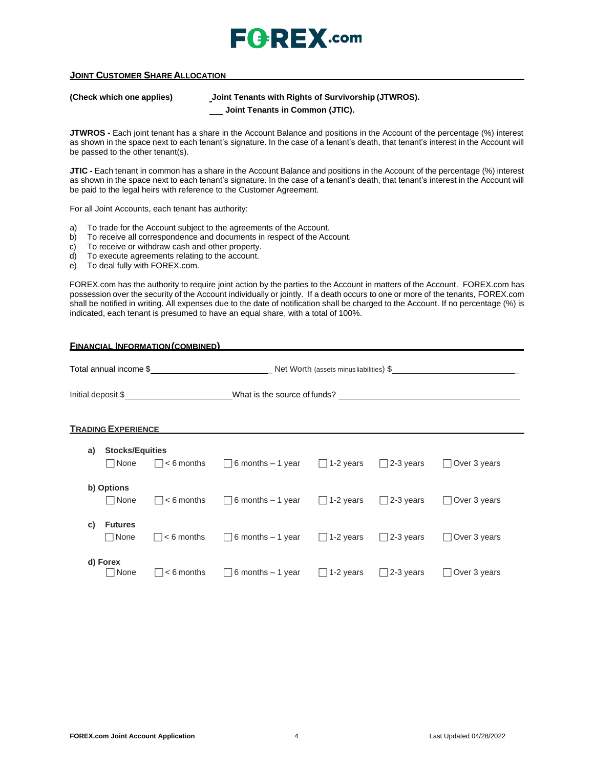

### **JOINT CUSTOMER SHARE ALLOCATION**

**(Check which one applies) Joint Tenants with Rights of Survivorship (JTWROS).**

**Joint Tenants in Common (JTIC).**

**JTWROS -** Each joint tenant has a share in the Account Balance and positions in the Account of the percentage (%) interest as shown in the space next to each tenant's signature. In the case of a tenant's death, that tenant's interest in the Account will be passed to the other tenant(s).

**JTIC -** Each tenant in common has a share in the Account Balance and positions in the Account of the percentage (%) interest as shown in the space next to each tenant's signature. In the case of a tenant's death, that tenant's interest in the Account will be paid to the legal heirs with reference to the Customer Agreement.

For all Joint Accounts, each tenant has authority:

- a) To trade for the Account subject to the agreements of the Account.
- b) To receive all correspondence and documents in respect of the Account.
- c) To receive or withdraw cash and other property.
- d) To execute agreements relating to the account.
- e) To deal fully with FOREX.com.

FOREX.com has the authority to require joint action by the parties to the Account in matters of the Account. FOREX.com has possession over the security of the Account individually or jointly. If a death occurs to one or more of the tenants, FOREX.com shall be notified in writing. All expenses due to the date of notification shall be charged to the Account. If no percentage (%) is indicated, each tenant is presumed to have an equal share, with a total of 100%.

| <b>FINANCIAL INFORMATION (COMBINED)</b> |                                 |                    |                                           |                  |                  |                              |
|-----------------------------------------|---------------------------------|--------------------|-------------------------------------------|------------------|------------------|------------------------------|
|                                         |                                 |                    |                                           |                  |                  |                              |
|                                         |                                 | Initial deposit \$ | What is the source of funds?              |                  |                  |                              |
|                                         | <b>TRADING EXPERIENCE</b>       |                    |                                           |                  |                  |                              |
| a)                                      | <b>Stocks/Equities</b>          |                    |                                           |                  |                  |                              |
|                                         | $\Box$ None                     | $\Box$ < 6 months  | $\Box$ 6 months – 1 year $\Box$ 1-2 years |                  | $\Box$ 2-3 years | Over 3 years                 |
|                                         | b) Options<br>$\Box$ None       | $\Box$ < 6 months  | $\Box$ 6 months – 1 year $\Box$ 1-2 years |                  | $\Box$ 2-3 years | $\Box$ Over 3 years          |
| C)                                      | <b>Futures</b><br>$\sqcap$ None | $\Box$ < 6 months  | $\Box$ 6 months – 1 year                  | $\Box$ 1-2 years | $\Box$ 2-3 years | Over 3 years<br>$\mathsf{L}$ |
|                                         | d) Forex<br>  None              | $< 6$ months       | $\Box$ 6 months – 1 year                  | $\Box$ 1-2 years | $\Box$ 2-3 years | Over 3 years                 |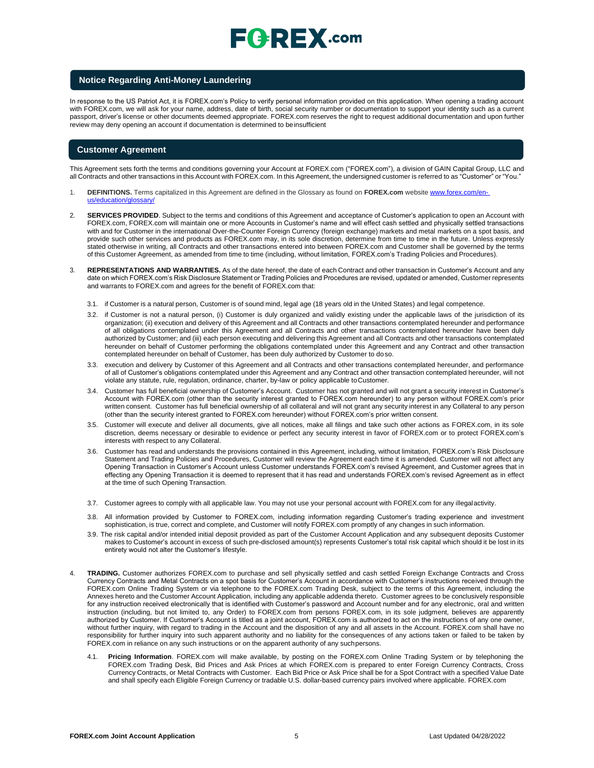# $\mathsf{F}$ **Q**: REX .com

#### **Notice Regarding Anti-Money Laundering**

In response to the US Patriot Act, it is FOREX.com's Policy to verify personal information provided on this application. When opening a trading account with FOREX.com, we will ask for your name, address, date of birth, social security number or documentation to support your identity such as a current passport, driver's license or other documents deemed appropriate. FOREX.com reserves the right to request additional documentation and upon further review may deny opening an account if documentation is determined to beinsufficient

#### **Customer Agreement**

This Agreement sets forth the terms and conditions governing your Account at FOREX.com ("FOREX.com"), a division of GAIN Capital Group, LLC and all Contracts and other transactions in this Account with FOREX.com. In this Agreement, the undersigned customer is referred to as "Customer" or "You."

- 1. **DEFINITIONS.** Terms capitalized in this Agreement are defined in the Glossary as found on **FOREX.com** website [www.forex.com/en](http://www.forex.com/en-us/education/glossary/)[us/education/glossary/](http://www.forex.com/en-us/education/glossary/)
- 2. **SERVICES PROVIDED**. Subject to the terms and conditions of this Agreement and acceptance of Customer's application to open an Account with FOREX.com, FOREX.com will maintain one or more Accounts in Customer's name and will effect cash settled and physically settled transactions with and for Customer in the international Over-the-Counter Foreign Currency (foreign exchange) markets and metal markets on a spot basis, and provide such other services and products as FOREX.com may, in its sole discretion, determine from time to time in the future. Unless expressly stated otherwise in writing, all Contracts and other transactions entered into between FOREX.com and Customer shall be governed by the terms of this Customer Agreement, as amended from time to time (including, without limitation, FOREX.com's Trading Policies and Procedures).
- 3. **REPRESENTATIONS AND WARRANTIES.** As of the date hereof, the date of each Contract and other transaction in Customer's Account and any date on which FOREX.com's Risk Disclosure Statement or Trading Policies and Procedures are revised, updated or amended, Customer represents and warrants to FOREX.com and agrees for the benefit of FOREX.com that:
	- 3.1. if Customer is a natural person, Customer is of sound mind, legal age (18 years old in the United States) and legal competence.
	- 3.2. if Customer is not a natural person, (i) Customer is duly organized and validly existing under the applicable laws of the jurisdiction of its organization; (ii) execution and delivery of this Agreement and all Contracts and other transactions contemplated hereunder and performance of all obligations contemplated under this Agreement and all Contracts and other transactions contemplated hereunder have been duly authorized by Customer; and (iii) each person executing and delivering this Agreement and all Contracts and other transactions contemplated hereunder on behalf of Customer performing the obligations contemplated under this Agreement and any Contract and other transaction contemplated hereunder on behalf of Customer, has been duly authorized by Customer to doso.
	- 3.3. execution and delivery by Customer of this Agreement and all Contracts and other transactions contemplated hereunder, and performance of all of Customer's obligations contemplated under this Agreement and any Contract and other transaction contemplated hereunder, will not violate any statute, rule, regulation, ordinance, charter, by-law or policy applicable toCustomer.
	- 3.4. Customer has full beneficial ownership of Customer's Account. Customer has not granted and will not grant a security interest in Customer's Account with FOREX.com (other than the security interest granted to FOREX.com hereunder) to any person without FOREX.com's prior written consent. Customer has full beneficial ownership of all collateral and will not grant any security interest in any Collateral to any person (other than the security interest granted to FOREX.com hereunder) without FOREX.com's prior written consent.
	- 3.5. Customer will execute and deliver all documents, give all notices, make all filings and take such other actions as FOREX.com, in its sole discretion, deems necessary or desirable to evidence or perfect any security interest in favor of FOREX.com or to protect FOREX.com's interests with respect to any Collateral.
	- 3.6. Customer has read and understands the provisions contained in this Agreement, including, without limitation, FOREX.com's Risk Disclosure Statement and Trading Policies and Procedures, Customer will review the Agreement each time it is amended. Customer will not affect any Opening Transaction in Customer's Account unless Customer understands FOREX.com's revised Agreement, and Customer agrees that in effecting any Opening Transaction it is deemed to represent that it has read and understands FOREX.com's revised Agreement as in effect at the time of such Opening Transaction.
	- 3.7. Customer agrees to comply with all applicable law. You may not use your personal account with FOREX.com for any illegalactivity.
	- 3.8. All information provided by Customer to FOREX.com, including information regarding Customer's trading experience and investment sophistication, is true, correct and complete, and Customer will notify FOREX.com promptly of any changes in such information.
	- 3.9. The risk capital and/or intended initial deposit provided as part of the Customer Account Application and any subsequent deposits Customer makes to Customer's account in excess of such pre-disclosed amount(s) represents Customer's total risk capital which should it be lost in its entirety would not alter the Customer's lifestyle.
- 4. **TRADING.** Customer authorizes FOREX.com to purchase and sell physically settled and cash settled Foreign Exchange Contracts and Cross Currency Contracts and Metal Contracts on a spot basis for Customer's Account in accordance with Customer's instructions received through the FOREX.com Online Trading System or via telephone to the FOREX.com Trading Desk, subject to the terms of this Agreement, including the Annexes hereto and the Customer Account Application, including any applicable addenda thereto. Customer agrees to be conclusively responsible for any instruction received electronically that is identified with Customer's password and Account number and for any electronic, oral and written instruction (including, but not limited to, any Order) to FOREX.com from persons FOREX.com, in its sole judgment, believes are apparently authorized by Customer. If Customer's Account is titled as a joint account, FOREX.com is authorized to act on the instructions of any one owner, without further inquiry, with regard to trading in the Account and the disposition of any and all assets in the Account. FOREX.com shall have no responsibility for further inquiry into such apparent authority and no liability for the consequences of any actions taken or failed to be taken by FOREX.com in reliance on any such instructions or on the apparent authority of any suchpersons.
	- 4.1. **Pricing Information**. FOREX.com will make available, by posting on the FOREX.com Online Trading System or by telephoning the FOREX.com Trading Desk, Bid Prices and Ask Prices at which FOREX.com is prepared to enter Foreign Currency Contracts, Cross Currency Contracts, or Metal Contracts with Customer. Each Bid Price or Ask Price shall be for a Spot Contract with a specified Value Date and shall specify each Eligible Foreign Currency or tradable U.S. dollar-based currency pairs involved where applicable. FOREX.com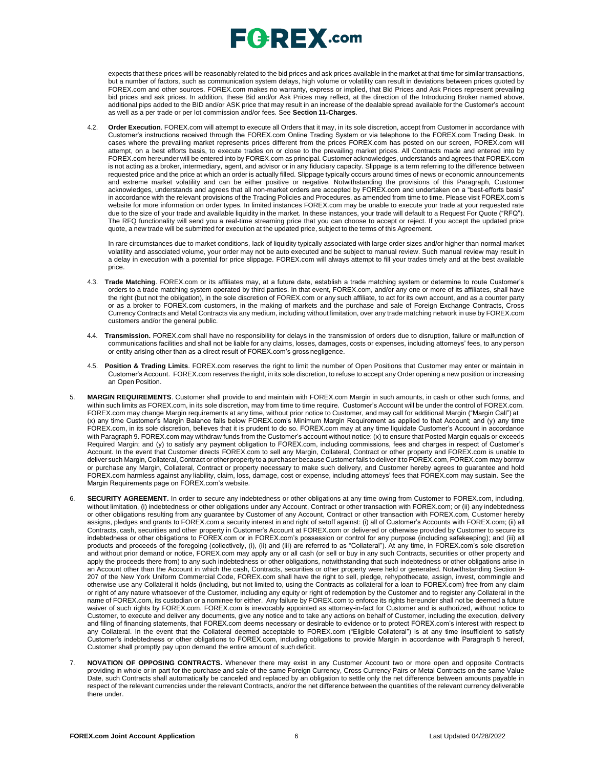# $E$ **G**  $R$ **EX** .com

expects that these prices will be reasonably related to the bid prices and ask prices available in the market at that time for similar transactions, but a number of factors, such as communication system delays, high volume or volatility can result in deviations between prices quoted by FOREX.com and other sources. FOREX.com makes no warranty, express or implied, that Bid Prices and Ask Prices represent prevailing bid prices and ask prices. In addition, these Bid and/or Ask Prices may reflect, at the direction of the Introducing Broker named above, additional pips added to the BID and/or ASK price that may result in an increase of the dealable spread available for the Customer's account as well as a per trade or per lot commission and/or fees. See **Section 11-Charges**.

4.2. **Order Execution**. FOREX.com will attempt to execute all Orders that it may, in its sole discretion, accept from Customer in accordance with Customer's instructions received through the FOREX.com Online Trading System or via telephone to the FOREX.com Trading Desk. In cases where the prevailing market represents prices different from the prices FOREX.com has posted on our screen, FOREX.com will attempt, on a best efforts basis, to execute trades on or close to the prevailing market prices. All Contracts made and entered into by FOREX.com hereunder will be entered into by FOREX.com as principal. Customer acknowledges, understands and agrees that FOREX.com is not acting as a broker, intermediary, agent, and advisor or in any fiduciary capacity. Slippage is a term referring to the difference between requested price and the price at which an order is actually filled. Slippage typically occurs around times of news or economic announcements and extreme market volatility and can be either positive or negative. Notwithstanding the provisions of this Paragraph, Customer acknowledges, understands and agrees that all non-market orders are accepted by FOREX.com and undertaken on a "best-efforts basis" in accordance with the relevant provisions of the Trading Policies and Procedures, as amended from time to time. Please visit FOREX.com's website for more information on order types. In limited instances FOREX.com may be unable to execute your trade at your requested rate due to the size of your trade and available liquidity in the market. In these instances, your trade will default to a Request For Quote ("RFQ"). The RFQ functionality will send you a real-time streaming price that you can choose to accept or reject. If you accept the updated price quote, a new trade will be submitted for execution at the updated price, subject to the terms of this Agreement.

In rare circumstances due to market conditions, lack of liquidity typically associated with large order sizes and/or higher than normal market volatility and associated volume, your order may not be auto executed and be subject to manual review. Such manual review may result in a delay in execution with a potential for price slippage[. FOREX.com w](http://forex.com/)ill always attempt to fill your trades timely and at the best available price.

- 4.3. **Trade Matching**. FOREX.com or its affiliates may, at a future date, establish a trade matching system or determine to route Customer's orders to a trade matching system operated by third parties. In that event, FOREX.com, and/or any one or more of its affiliates, shall have the right (but not the obligation), in the sole discretion of FOREX.com or any such affiliate, to act for its own account, and as a counter party or as a broker to FOREX.com customers, in the making of markets and the purchase and sale of Foreign Exchange Contracts, Cross Currency Contracts and Metal Contracts via any medium, including without limitation, over any trade matching network in use by FOREX.com customers and/or the general public.
- 4.4. **Transmission.** FOREX.com shall have no responsibility for delays in the transmission of orders due to disruption, failure or malfunction of communications facilities and shall not be liable for any claims, losses, damages, costs or expenses, including attorneys' fees, to any person or entity arising other than as a direct result of FOREX.com's gross negligence.
- 4.5. **Position & Trading Limits**. FOREX.com reserves the right to limit the number of Open Positions that Customer may enter or maintain in Customer's Account. FOREX.com reserves the right, in its sole discretion, to refuse to accept any Order opening a new position or increasing an Open Position.
- 5. **MARGIN REQUIREMENTS**. Customer shall provide to and maintain with FOREX.com Margin in such amounts, in cash or other such forms, and within such limits as FOREX.com, in its sole discretion, may from time to time require. Customer's Account will be under the control of FOREX.com. FOREX.com may change Margin requirements at any time, without prior notice to Customer, and may call for additional Margin ("Margin Call") at (x) any time Customer's Margin Balance falls below FOREX.com's Minimum Margin Requirement as applied to that Account; and (y) any time FOREX.com, in its sole discretion, believes that it is prudent to do so. FOREX.com may at any time liquidate Customer's Account in accordance with Paragraph 9. FOREX.com may withdraw funds from the Customer's account without notice: (x) to ensure that Posted Margin equals or exceeds Required Margin; and (y) to satisfy any payment obligation to FOREX.com, including commissions, fees and charges in respect of Customer's Account. In the event that Customer directs FOREX.com to sell any Margin, Collateral, Contract or other property and FOREX.com is unable to deliver such Margin, Collateral, Contract or other propertyto a purchaser because Customer fails to deliver it to FOREX.com, FOREX.com may borrow or purchase any Margin, Collateral, Contract or property necessary to make such delivery, and Customer hereby agrees to guarantee and hold FOREX.com harmless against any liability, claim, loss, damage, cost or expense, including attorneys' fees that FOREX.com may sustain. See the Margin Requirements page on FOREX.com's website.
- 6. **SECURITY AGREEMENT.** In order to secure any indebtedness or other obligations at any time owing from Customer to FOREX.com, including, without limitation, (i) indebtedness or other obligations under any Account, Contract or other transaction with FOREX.com; or (ii) any indebtedness or other obligations resulting from any guarantee by Customer of any Account, Contract or other transaction with FOREX.com, Customer hereby assigns, pledges and grants to FOREX.com a security interest in and right of setoff against: (i) all of Customer's Accounts with FOREX.com; (ii) all Contracts, cash, securities and other property in Customer's Account at FOREX.com or delivered or otherwise provided by Customer to secure its indebtedness or other obligations to FOREX.com or in FOREX.com's possession or control for any purpose (including safekeeping); and (iii) all products and proceeds of the foregoing (collectively, (i), (ii) and (iii) are referred to as "Collateral"). At any time, in FOREX.com's sole discretion and without prior demand or notice, FOREX.com may apply any or all cash (or sell or buy in any such Contracts, securities or other property and apply the proceeds there from) to any such indebtedness or other obligations, notwithstanding that such indebtedness or other obligations arise in an Account other than the Account in which the cash, Contracts, securities or other property were held or generated. Notwithstanding Section 9-207 of the New York Uniform Commercial Code, FOREX.com shall have the right to sell, pledge, rehypothecate, assign, invest, commingle and otherwise use any Collateral it holds (including, but not limited to, using the Contracts as collateral for a loan to FOREX.com) free from any claim or right of any nature whatsoever of the Customer, including any equity or right of redemption by the Customer and to register any Collateral in the name of FOREX.com, its custodian or a nominee for either. Any failure by FOREX.com to enforce its rights hereunder shall not be deemed a future waiver of such rights by FOREX.com. FOREX.com is irrevocably appointed as attorney-in-fact for Customer and is authorized, without notice to Customer, to execute and deliver any documents, give any notice and to take any actions on behalf of Customer, including the execution, delivery and filing of financing statements, that FOREX.com deems necessary or desirable to evidence or to protect FOREX.com's interest with respect to any Collateral. In the event that the Collateral deemed acceptable to FOREX.com ("Eligible Collateral") is at any time insufficient to satisfy Customer's indebtedness or other obligations to FOREX.com, including obligations to provide Margin in accordance with Paragraph 5 hereof, Customer shall promptly pay upon demand the entire amount of such deficit.
- 7. **NOVATION OF OPPOSING CONTRACTS.** Whenever there may exist in any Customer Account two or more open and opposite Contracts providing in whole or in part for the purchase and sale of the same Foreign Currency, Cross Currency Pairs or Metal Contracts on the same Value Date, such Contracts shall automatically be canceled and replaced by an obligation to settle only the net difference between amounts payable in respect of the relevant currencies under the relevant Contracts, and/or the net difference between the quantities of the relevant currency deliverable there under.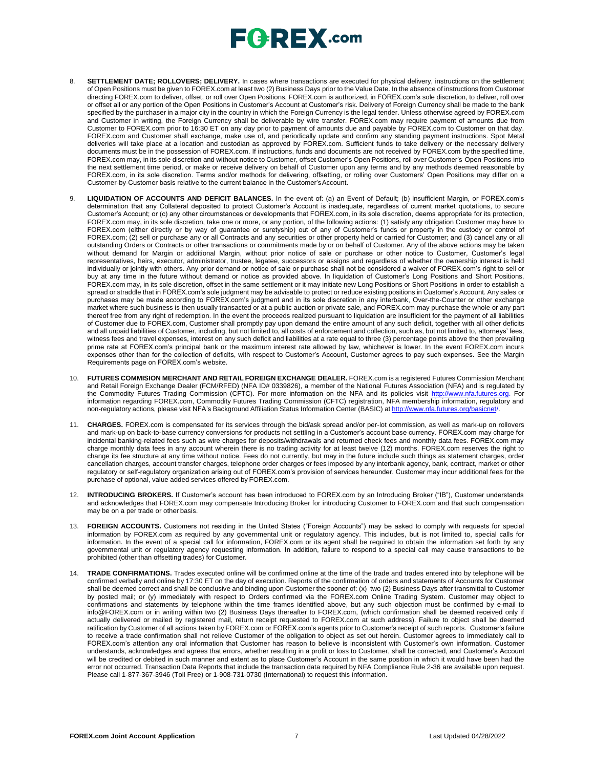# $\mathsf{E}$  **Q**  $\mathsf{R}$   $\mathsf{E}$  **X** .com

- 8. **SETTLEMENT DATE; ROLLOVERS; DELIVERY.** In cases where transactions are executed for physical delivery, instructions on the settlement of Open Positions must be given to FOREX.com at least two (2) Business Days prior to the Value Date. In the absence of instructions from Customer directing FOREX.com to deliver, offset, or roll over Open Positions, FOREX.com is authorized, in FOREX.com's sole discretion, to deliver, roll over or offset all or any portion of the Open Positions in Customer's Account at Customer's risk. Delivery of Foreign Currency shall be made to the bank specified by the purchaser in a major city in the country in which the Foreign Currency is the legal tender. Unless otherwise agreed by FOREX.com and Customer in writing, the Foreign Currency shall be deliverable by wire transfer. FOREX.com may require payment of amounts due from Customer to FOREX.com prior to 16:30 ET on any day prior to payment of amounts due and payable by FOREX.com to Customer on that day. FOREX.com and Customer shall exchange, make use of, and periodically update and confirm any standing payment instructions. Spot Metal deliveries will take place at a location and custodian as approved by FOREX.com. Sufficient funds to take delivery or the necessary delivery documents must be in the possession of FOREX.com. If instructions, funds and documents are not received by FOREX.com by the specified time, FOREX.com may, in its sole discretion and without notice to Customer, offset Customer's Open Positions, roll over Customer's Open Positions into the next settlement time period, or make or receive delivery on behalf of Customer upon any terms and by any methods deemed reasonable by FOREX.com, in its sole discretion. Terms and/or methods for delivering, offsetting, or rolling over Customers' Open Positions may differ on a Customer-by-Customer basis relative to the current balance in the Customer'sAccount.
- 9. **LIQUIDATION OF ACCOUNTS AND DEFICIT BALANCES.** In the event of: (a) an Event of Default; (b) insufficient Margin, or FOREX.com's determination that any Collateral deposited to protect Customer's Account is inadequate, regardless of current market quotations, to secure Customer's Account; or (c) any other circumstances or developments that FOREX.com, in its sole discretion, deems appropriate for its protection, FOREX.com may, in its sole discretion, take one or more, or any portion, of the following actions: (1) satisfy any obligation Customer may have to FOREX.com (either directly or by way of guarantee or suretyship) out of any of Customer's funds or property in the custody or control of FOREX.com; (2) sell or purchase any or all Contracts and any securities or other property held or carried for Customer; and (3) cancel any or all outstanding Orders or Contracts or other transactions or commitments made by or on behalf of Customer. Any of the above actions may be taken without demand for Margin or additional Margin, without prior notice of sale or purchase or other notice to Customer, Customer's legal representatives, heirs, executor, administrator, trustee, legatee, successors or assigns and regardless of whether the ownership interest is held individually or jointly with others. Any prior demand or notice of sale or purchase shall not be considered a waiver of FOREX.com's right to sell or buy at any time in the future without demand or notice as provided above. In liquidation of Customer's Long Positions and Short Positions, FOREX.com may, in its sole discretion, offset in the same settlement or it may initiate new Long Positions or Short Positions in order to establish a spread or straddle that in FOREX.com's sole judgment may be advisable to protect or reduce existing positions in Customer's Account. Any sales or purchases may be made according to FOREX.com's judgment and in its sole discretion in any interbank, Over-the-Counter or other exchange market where such business is then usually transacted or at a public auction or private sale, and FOREX.com may purchase the whole or any part thereof free from any right of redemption. In the event the proceeds realized pursuant to liquidation are insufficient for the payment of all liabilities of Customer due to FOREX.com, Customer shall promptly pay upon demand the entire amount of any such deficit, together with all other deficits and all unpaid liabilities of Customer, including, but not limited to, all costs of enforcement and collection, such as, but not limited to, attorneys' fees, witness fees and travel expenses, interest on any such deficit and liabilities at a rate equal to three (3) percentage points above the then prevailing prime rate at FOREX.com's principal bank or the maximum interest rate allowed by law, whichever is lower. In the event FOREX.com incurs expenses other than for the collection of deficits, with respect to Customer's Account, Customer agrees to pay such expenses. See the Margin Requirements page on FOREX.com's website.
- 10. **FUTURES COMMISION MERCHANT AND RETAIL FOREIGN EXCHANGE DEALER.** FOREX.com is a registered Futures Commission Merchant and Retail Foreign Exchange Dealer (FCM/RFED) (NFA ID# 0339826), a member of the National Futures Association (NFA) and is regulated by the Commodity Futures Trading Commission (CFTC). For more information on the NFA and its policies visit [http://www.nfa.futures.org.](http://www.nfa.futures.org/) For information regarding FOREX.com, Commodity Futures Trading Commission (CFTC) registration, NFA membership information, regulatory and non-regulatory actions, please visit NFA's Background Affiliation Status Information Center (BASIC) at http://www.nfa.futures.org/b
- 11. **CHARGES.** FOREX.com is compensated for its services through the bid/ask spread and/or per-lot commission, as well as mark-up on rollovers and mark-up on back-to-base currency conversions for products not settling in a Customer's account base currency. FOREX.com may charge for incidental banking-related fees such as wire charges for deposits/withdrawals and returned check fees and monthly data fees. FOREX.com may charge monthly data fees in any account wherein there is no trading activity for at least twelve (12) months. FOREX.com reserves the right to change its fee structure at any time without notice. Fees do not currently, but may in the future include such things as statement charges, order cancellation charges, account transfer charges, telephone order charges or fees imposed by any interbank agency, bank, contract, market or other regulatory or self-regulatory organization arising out of FOREX.com's provision of services hereunder. Customer may incur additional fees for the purchase of optional, value added services offered by FOREX.com.
- 12. **INTRODUCING BROKERS.** If Customer's account has been introduced to FOREX.com by an Introducing Broker ("IB"), Customer understands and acknowledges that FOREX.com may compensate Introducing Broker for introducing Customer to FOREX.com and that such compensation may be on a per trade or other basis.
- 13. **FOREIGN ACCOUNTS.** Customers not residing in the United States ("Foreign Accounts") may be asked to comply with requests for special information by FOREX.com as required by any governmental unit or regulatory agency. This includes, but is not limited to, special calls for information. In the event of a special call for information, FOREX.com or its agent shall be required to obtain the information set forth by any governmental unit or regulatory agency requesting information. In addition, failure to respond to a special call may cause transactions to be prohibited (other than offsetting trades) for Customer.
- 14. **TRADE CONFIRMATIONS.** Trades executed online will be confirmed online at the time of the trade and trades entered into by telephone will be confirmed verbally and online by 17:30 ET on the day of execution. Reports of the confirmation of orders and statements of Accounts for Customer shall be deemed correct and shall be conclusive and binding upon Customer the sooner of: (x) two (2) Business Days after transmittal to Customer by posted mail; or (y) immediately with respect to Orders confirmed via the FOREX.com Online Trading System. Customer may object to confirmations and statements by telephone within the time frames identified above, but any such objection must be confirmed by e-mail t[o](mailto:info@FOREX.com) [info@FOREX.com](mailto:info@FOREX.com) or in writing within two (2) Business Days thereafter to FOREX.com, (which confirmation shall be deemed received only if actually delivered or mailed by registered mail, return receipt requested to FOREX.com at such address). Failure to object shall be deemed ratification by Customer of all actions taken by FOREX.com or FOREX.com's agents prior to Customer's receipt of such reports. Customer's failure to receive a trade confirmation shall not relieve Customer of the obligation to object as set out herein. Customer agrees to immediately call to FOREX.com's attention any oral information that Customer has reason to believe is inconsistent with Customer's own information. Customer understands, acknowledges and agrees that errors, whether resulting in a profit or loss to Customer, shall be corrected, and Customer's Account will be credited or debited in such manner and extent as to place Customer's Account in the same position in which it would have been had the error not occurred. Transaction Data Reports that include the transaction data required by NFA Compliance Rule 2-36 are available upon request. Please call 1-877-367-3946 (Toll Free) or 1-908-731-0730 (International) to request this information.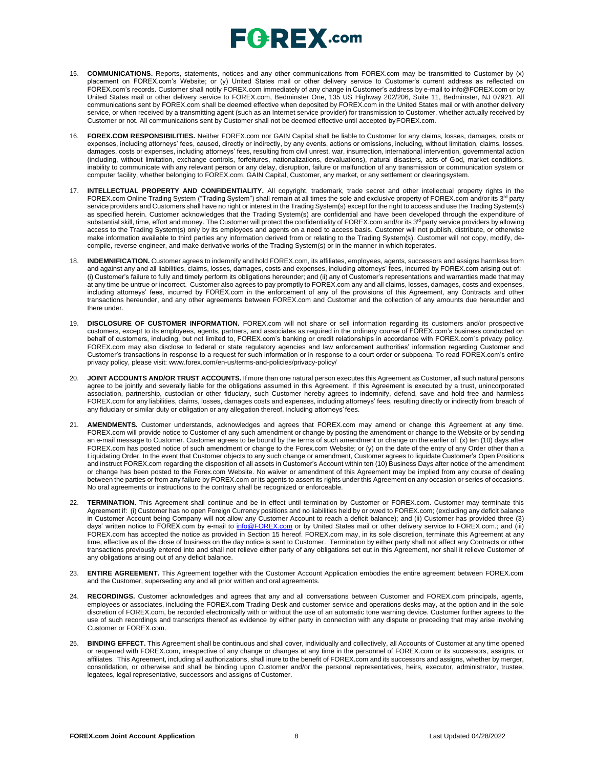# $E$ **G**  $R$ **EX** .com

- 15. **COMMUNICATIONS.** Reports, statements, notices and any other communications from FOREX.com may be transmitted to Customer by (x) placement on FOREX.com's Website; or (y) United States mail or other delivery service to Customer's current address as reflected on FOREX.com's records. Customer shall notify FOREX.com immediately of any change in Customer's address by e-mail to [info@FOREX.com](mailto:info@FOREX.com) or by United States mail or other delivery service to FOREX.com, Bedminster One, 135 US Highway 202/206, Suite 11, Bedminster, NJ 07921. All communications sent by FOREX.com shall be deemed effective when deposited by FOREX.com in the United States mail or with another delivery service, or when received by a transmitting agent (such as an Internet service provider) for transmission to Customer, whether actually received by Customer or not. All communications sent by Customer shall not be deemed effective until accepted byFOREX.com.
- 16. **FOREX.COM RESPONSIBILITIES.** Neither FOREX.com nor GAIN Capital shall be liable to Customer for any claims, losses, damages, costs or expenses, including attorneys' fees, caused, directly or indirectly, by any events, actions or omissions, including, without limitation, claims, losses, damages, costs or expenses, including attorneys' fees, resulting from civil unrest, war, insurrection, international intervention, governmental action (including, without limitation, exchange controls, forfeitures, nationalizations, devaluations), natural disasters, acts of God, market conditions, inability to communicate with any relevant person or any delay, disruption, failure or malfunction of any transmission or communication system or computer facility, whether belonging to FOREX.com, GAIN Capital, Customer, any market, or any settlement or clearingsystem.
- 17. **INTELLECTUAL PROPERTY AND CONFIDENTIALITY.** All copyright, trademark, trade secret and other intellectual property rights in the FOREX.com Online Trading System ("Trading System") shall remain at all times the sole and exclusive property of FOREX.com and/or its 3<sup>rd</sup> party service providers and Customers shall have no right or interest in the Trading System(s) except for the right to access and use the Trading System(s) as specified herein. Customer acknowledges that the Trading System(s) are confidential and have been developed through the expenditure of substantial skill, time, effort and money. The Customer will protect the confidentiality of FOREX.com and/or its 3<sup>rd</sup> party service providers by allowing access to the Trading System(s) only by its employees and agents on a need to access basis. Customer will not publish, distribute, or otherwise make information available to third parties any information derived from or relating to the Trading System(s). Customer will not copy, modify, decompile, reverse engineer, and make derivative works of the Trading System(s) or in the manner in which itoperates.
- 18. **INDEMNIFICATION.** Customer agrees to indemnify and hold FOREX.com, its affiliates, employees, agents, successors and assigns harmless from and against any and all liabilities, claims, losses, damages, costs and expenses, including attorneys' fees, incurred by FOREX.com arising out of: (i) Customer's failure to fully and timely perform its obligations hereunder; and (ii) any of Customer's representations and warranties made that may at any time be untrue or incorrect. Customer also agrees to pay promptly to FOREX.com any and all claims, losses, damages, costs and expenses, including attorneys' fees, incurred by FOREX.com in the enforcement of any of the provisions of this Agreement, any Contracts and other transactions hereunder, and any other agreements between FOREX.com and Customer and the collection of any amounts due hereunder and there under.
- 19. **DISCLOSURE OF CUSTOMER INFORMATION.** FOREX.com will not share or sell information regarding its customers and/or prospective customers, except to its employees, agents, partners, and associates as required in the ordinary course of FOREX.com's business conducted on behalf of customers, including, but not limited to, FOREX.com's banking or credit relationships in accordance with FOREX.com's privacy policy. FOREX.com may also disclose to federal or state regulatory agencies and law enforcement authorities' information regarding Customer and Customer's transactions in response to a request for such information or in response to a court order or subpoena. To read FOREX.com's entire privacy policy, please visit: [www.forex.com/en-us/terms-and-policies/privacy-policy/](http://www.forex.com/en-us/terms-and-policies/privacy-policy/)
- 20. **JOINT ACCOUNTS AND/OR TRUST ACCOUNTS.** If more than one natural person executes this Agreement as Customer, all such natural persons agree to be jointly and severally liable for the obligations assumed in this Agreement. If this Agreement is executed by a trust, unincorporated association, partnership, custodian or other fiduciary, such Customer hereby agrees to indemnify, defend, save and hold free and harmless FOREX.com for any liabilities, claims, losses, damages costs and expenses, including attorneys' fees, resulting directly or indirectly from breach of any fiduciary or similar duty or obligation or any allegation thereof, including attorneys' fees.
- 21. **AMENDMENTS.** Customer understands, acknowledges and agrees that FOREX.com may amend or change this Agreement at any time. FOREX.com will provide notice to Customer of any such amendment or change by posting the amendment or change to the Website or by sending an e-mail message to Customer. Customer agrees to be bound by the terms of such amendment or change on the earlier of: (x) ten (10) days after FOREX.com has posted notice of such amendment or change to the Forex.com Website; or (y) on the date of the entry of any Order other than a Liquidating Order. In the event that Customer objects to any such change or amendment, Customer agrees to liquidate Customer's Open Positions and instruct FOREX.com regarding the disposition of all assets in Customer's Account within ten (10) Business Days after notice of the amendment or change has been posted to the Forex.com Website. No waiver or amendment of this Agreement may be implied from any course of dealing between the parties or from any failure by FOREX.com or its agents to assert its rights under this Agreement on any occasion or series of occasions. No oral agreements or instructions to the contrary shall be recognized or enforceable.
- 22. **TERMINATION.** This Agreement shall continue and be in effect until termination by Customer or FOREX.com. Customer may terminate this Agreement if: (i) Customer has no open Foreign Currency positions and no liabilities held by or owed to FOREX.com; (excluding any deficit balance in Customer Account being Company will not allow any Customer Account to reach a deficit balance); and (ii) Customer has provided three (3) days' written notice to FOREX.com by e-mail to <u>[info@FOREX.com](mailto:info@fxadvantage.com)</u> or by United States mail or other delivery service to FOREX.com.; and (iii) FOREX.com has accepted the notice as provided in Section 15 hereof. FOREX.com may, in its sole discretion, terminate this Agreement at any time, effective as of the close of business on the day notice is sent to Customer. Termination by either party shall not affect any Contracts or other transactions previously entered into and shall not relieve either party of any obligations set out in this Agreement, nor shall it relieve Customer of any obligations arising out of any deficit balance.
- 23. **ENTIRE AGREEMENT.** This Agreement together with the Customer Account Application embodies the entire agreement between FOREX.com and the Customer, superseding any and all prior written and oral agreements.
- 24. **RECORDINGS.** Customer acknowledges and agrees that any and all conversations between Customer and FOREX.com principals, agents, employees or associates, including the FOREX.com Trading Desk and customer service and operations desks may, at the option and in the sole discretion of FOREX.com, be recorded electronically with or without the use of an automatic tone warning device. Customer further agrees to the use of such recordings and transcripts thereof as evidence by either party in connection with any dispute or preceding that may arise involving Customer or FOREX.com.
- 25. **BINDING EFFECT.** This Agreement shall be continuous and shall cover, individually and collectively, all Accounts of Customer at any time opened or reopened with FOREX.com, irrespective of any change or changes at any time in the personnel of FOREX.com or its successors, assigns, or affiliates. This Agreement, including all authorizations, shall inure to the benefit of FOREX.com and its successors and assigns, whether by merger, consolidation, or otherwise and shall be binding upon Customer and/or the personal representatives, heirs, executor, administrator, trustee, legatees, legal representative, successors and assigns of Customer.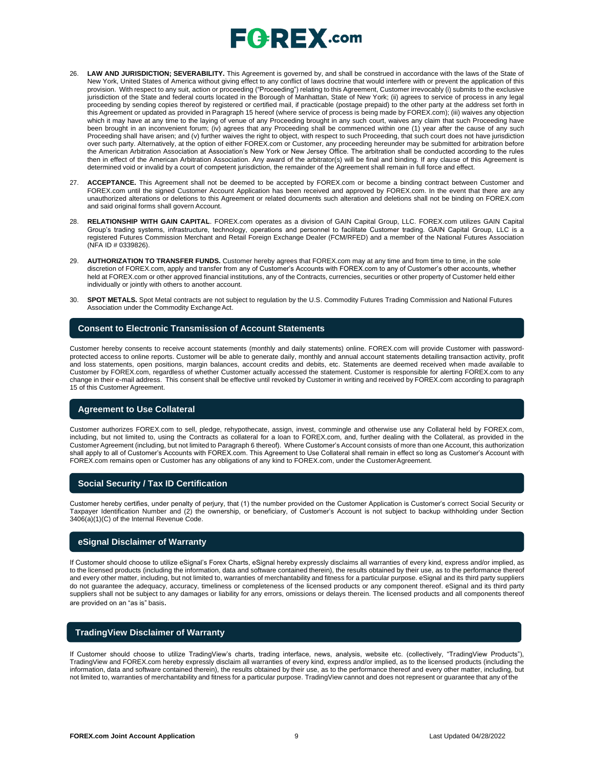

- 26. **LAW AND JURISDICTION; SEVERABILITY.** This Agreement is governed by, and shall be construed in accordance with the laws of the State of New York, United States of America without giving effect to any conflict of laws doctrine that would interfere with or prevent the application of this provision. With respect to any suit, action or proceeding ("Proceeding") relating to this Agreement, Customer irrevocably (i) submits to the exclusive jurisdiction of the State and federal courts located in the Borough of Manhattan, State of New York; (ii) agrees to service of process in any legal proceeding by sending copies thereof by registered or certified mail, if practicable (postage prepaid) to the other party at the address set forth in this Agreement or updated as provided in Paragraph 15 hereof (where service of process is being made by FOREX.com); (iii) waives any objection which it may have at any time to the laying of venue of any Proceeding brought in any such court, waives any claim that such Proceeding have been brought in an inconvenient forum; (iv) agrees that any Proceeding shall be commenced within one (1) year after the cause of any such Proceeding shall have arisen; and (v) further waives the right to object, with respect to such Proceeding, that such court does not have jurisdiction over such party. Alternatively, at the option of either FOREX.com or Customer, any proceeding hereunder may be submitted for arbitration before the American Arbitration Association at Association's New York or New Jersey Office. The arbitration shall be conducted according to the rules then in effect of the American Arbitration Association. Any award of the arbitrator(s) will be final and binding. If any clause of this Agreement is determined void or invalid by a court of competent jurisdiction, the remainder of the Agreement shall remain in full force and effect.
- 27. **ACCEPTANCE.** This Agreement shall not be deemed to be accepted by FOREX.com or become a binding contract between Customer and FOREX.com until the signed Customer Account Application has been received and approved by FOREX.com. In the event that there are any unauthorized alterations or deletions to this Agreement or related documents such alteration and deletions shall not be binding on FOREX.com and said original forms shall govern Account.
- 28. **RELATIONSHIP WITH GAIN CAPITAL**. FOREX.com operates as a division of GAIN Capital Group, LLC. FOREX.com utilizes GAIN Capital Group's trading systems, infrastructure, technology, operations and personnel to facilitate Customer trading. GAIN Capital Group, LLC is a registered Futures Commission Merchant and Retail Foreign Exchange Dealer (FCM/RFED) and a member of the National Futures Association (NFA ID # 0339826).
- 29. **AUTHORIZATION TO TRANSFER FUNDS.** Customer hereby agrees that FOREX.com may at any time and from time to time, in the sole discretion of FOREX.com, apply and transfer from any of Customer's Accounts with FOREX.com to any of Customer's other accounts, whether held at FOREX.com or other approved financial institutions, any of the Contracts, currencies, securities or other property of Customer held either individually or jointly with others to another account.
- 30. **SPOT METALS.** Spot Metal contracts are not subject to regulation by the U.S. Commodity Futures Trading Commission and National Futures Association under the Commodity Exchange Act.

#### **Consent to Electronic Transmission of Account Statements**

Customer hereby consents to receive account statements (monthly and daily statements) online. FOREX.com will provide Customer with passwordprotected access to online reports. Customer will be able to generate daily, monthly and annual account statements detailing transaction activity, profit and loss statements, open positions, margin balances, account credits and debits, etc. Statements are deemed received when made available to Customer by FOREX.com, regardless of whether Customer actually accessed the statement. Customer is responsible for alerting FOREX.com to any change in their e-mail address. This consent shall be effective until revoked by Customer in writing and received by FOREX.com according to paragraph 15 of this Customer Agreement.

#### **Agreement to Use Collateral**

Customer authorizes FOREX.com to sell, pledge, rehypothecate, assign, invest, commingle and otherwise use any Collateral held by FOREX.com, including, but not limited to, using the Contracts as collateral for a loan to FOREX.com, and, further dealing with the Collateral, as provided in the Customer Agreement (including, but not limited to Paragraph 6 thereof). Where Customer's Account consists of more than one Account, this authorization shall apply to all of Customer's Accounts with FOREX.com. This Agreement to Use Collateral shall remain in effect so long as Customer's Account with FOREX.com remains open or Customer has any obligations of any kind to FOREX.com, under the CustomerAgreement.

#### **Social Security / Tax ID Certification**

Customer hereby certifies, under penalty of perjury, that (1) the number provided on the Customer Application is Customer's correct Social Security or Taxpayer Identification Number and (2) the ownership, or beneficiary, of Customer's Account is not subject to backup withholding under Section 3406(a)(1)(C) of the Internal Revenue Code.

### **eSignal Disclaimer of Warranty**

If Customer should choose to utilize eSignal's Forex Charts, eSignal hereby expressly disclaims all warranties of every kind, express and/or implied, as to the licensed products (including the information, data and software contained therein), the results obtained by their use, as to the performance thereof and every other matter, including, but not limited to, warranties of merchantability and fitness for a particular purpose. eSignal and its third party suppliers do not guarantee the adequacy, accuracy, timeliness or completeness of the licensed products or any component thereof. eSignal and its third party suppliers shall not be subject to any damages or liability for any errors, omissions or delays therein. The licensed products and all components thereof are provided on an "as is" basis.

#### **TradingView Disclaimer of Warranty**

If Customer should choose to utilize TradingView's charts, trading interface, news, analysis, website etc. (collectively, "TradingView Products"), TradingView and FOREX.com hereby expressly disclaim all warranties of every kind, express and/or implied, as to the licensed products (including the information, data and software contained therein), the results obtained by their use, as to the performance thereof and every other matter, including, but not limited to, warranties of merchantability and fitness for a particular purpose. TradingView cannot and does not represent or guarantee that any of the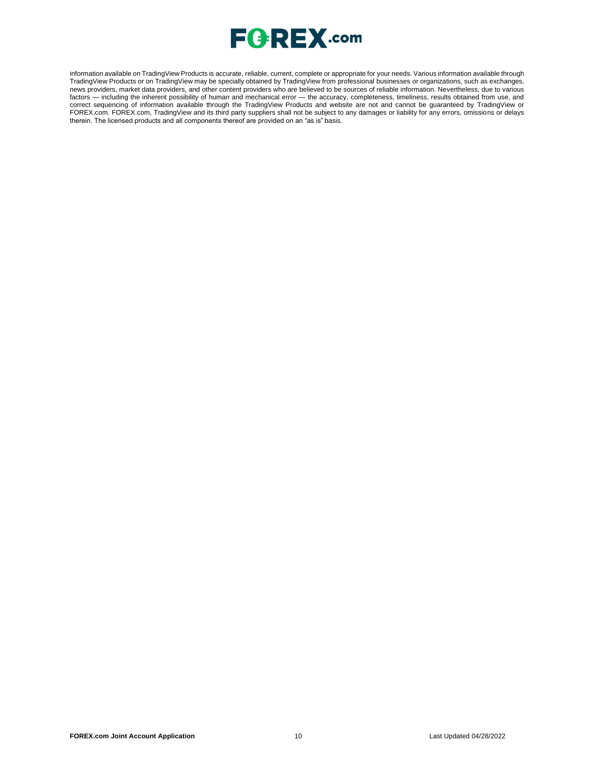

information available on TradingView Products is accurate, reliable, current, complete or appropriate for your needs. Various information available through TradingView Products or on TradingView may be specially obtained by TradingView from professional businesses or organizations, such as exchanges, news providers, market data providers, and other content providers who are believed to be sources of reliable information. Nevertheless, due to various factors — including the inherent possibility of human and mechanical error — the accuracy, completeness, timeliness, results obtained from use, and correct sequencing of information available through the TradingView Products and website are not and cannot be guaranteed by TradingView or FOREX.com. FOREX.com, TradingView and its third party suppliers shall not be subject to any damages or liability for any errors, omissions or delays therein. The licensed products and all components thereof are provided on an "as is" basis.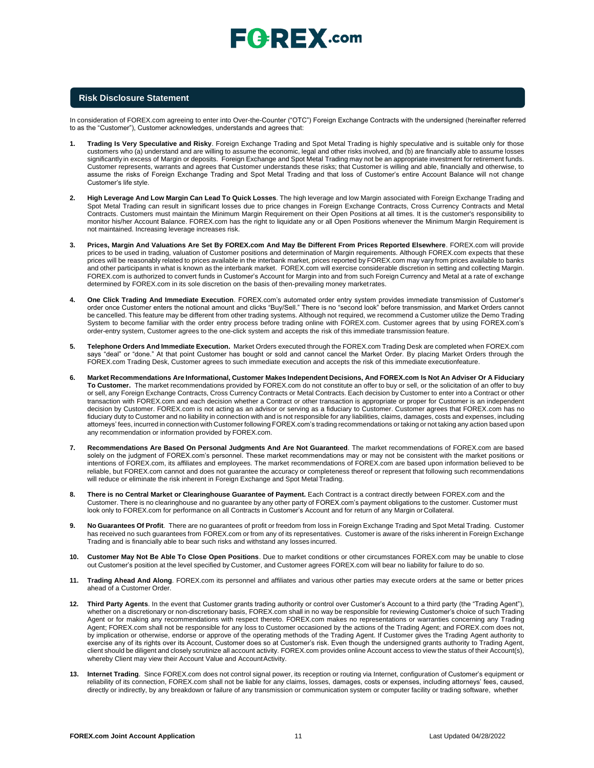#### **Risk Disclosure Statement**

In consideration of FOREX.com agreeing to enter into Over-the-Counter ("OTC") Foreign Exchange Contracts with the undersigned (hereinafter referred to as the "Customer"), Customer acknowledges, understands and agrees that:

- **1. Trading Is Very Speculative and Risky**. Foreign Exchange Trading and Spot Metal Trading is highly speculative and is suitable only for those customers who (a) understand and are willing to assume the economic, legal and other risks involved, and (b) are financially able to assume losses significantly in excess of Margin or deposits. Foreign Exchange and Spot Metal Trading may not be an appropriate investment for retirement funds. Customer represents, warrants and agrees that Customer understands these risks; that Customer is willing and able, financially and otherwise, to assume the risks of Foreign Exchange Trading and Spot Metal Trading and that loss of Customer's entire Account Balance will not change Customer's life style.
- **2. High Leverage And Low Margin Can Lead To Quick Losses**. The high leverage and low Margin associated with Foreign Exchange Trading and Spot Metal Trading can result in significant losses due to price changes in Foreign Exchange Contracts, Cross Currency Contracts and Metal Contracts. Customers must maintain the Minimum Margin Requirement on their Open Positions at all times. It is the customer's responsibility to monitor his/her Account Balance. FOREX.com has the right to liquidate any or all Open Positions whenever the Minimum Margin Requirement is not maintained. Increasing leverage increases risk.
- **3. Prices, Margin And Valuations Are Set By FOREX.com And May Be Different From Prices Reported Elsewhere**. FOREX.com will provide prices to be used in trading, valuation of Customer positions and determination of Margin requirements. Although FOREX.com expects that these prices will be reasonably related to prices available in the interbank market, prices reported by FOREX.com may vary from prices available to banks and other participants in what is known as the interbank market. FOREX.com will exercise considerable discretion in setting and collecting Margin. FOREX.com is authorized to convert funds in Customer's Account for Margin into and from such Foreign Currency and Metal at a rate of exchange determined by FOREX.com in its sole discretion on the basis of then-prevailing money marketrates.
- **4. One Click Trading And Immediate Execution**. FOREX.com's automated order entry system provides immediate transmission of Customer's order once Customer enters the notional amount and clicks "Buy/Sell." There is no "second look" before transmission, and Market Orders cannot be cancelled. This feature may be different from other trading systems. Although not required, we recommend a Customer utilize the Demo Trading System to become familiar with the order entry process before trading online with FOREX.com. Customer agrees that by using FOREX.com's order-entry system, Customer agrees to the one-click system and accepts the risk of this immediate transmission feature.
- **5. Telephone Orders And Immediate Execution.** Market Orders executed through the FOREX.com Trading Desk are completed when FOREX.com says "deal" or "done." At that point Customer has bought or sold and cannot cancel the Market Order. By placing Market Orders through the FOREX.com Trading Desk, Customer agrees to such immediate execution and accepts the risk of this immediate executionfeature.
- 6. Market Recommendations Are Informational, Customer Makes Independent Decisions, And FOREX.com Is Not An Adviser Or A Fiduciary **To Customer.** The market recommendations provided by FOREX.com do not constitute an offer to buy or sell, or the solicitation of an offer to buy or sell, any Foreign Exchange Contracts, Cross Currency Contracts or Metal Contracts. Each decision by Customer to enter into a Contract or other transaction with FOREX.com and each decision whether a Contract or other transaction is appropriate or proper for Customer is an independent decision by Customer. FOREX.com is not acting as an advisor or serving as a fiduciary to Customer. Customer agrees that FOREX.com has no fiduciary duty to Customer and no liability in connection with and is not responsible for any liabilities, claims, damages, costs and expenses, including attorneys' fees, incurred in connection with Customer following FOREX.com's trading recommendations or taking or not taking any action based upon any recommendation or information provided by FOREX.com.
- **7. Recommendations Are Based On Personal Judgments And Are Not Guaranteed**. The market recommendations of FOREX.com are based solely on the judgment of FOREX.com's personnel. These market recommendations may or may not be consistent with the market positions or intentions of FOREX.com, its affiliates and employees. The market recommendations of FOREX.com are based upon information believed to be reliable, but FOREX.com cannot and does not guarantee the accuracy or completeness thereof or represent that following such recommendations will reduce or eliminate the risk inherent in Foreign Exchange and Spot Metal Trading.
- **8. There is no Central Market or Clearinghouse Guarantee of Payment.** Each Contract is a contract directly between FOREX.com and the Customer. There is no clearinghouse and no guarantee by any other party of FOREX.com's payment obligations to the customer. Customer must look only to FOREX.com for performance on all Contracts in Customer's Account and for return of any Margin or Collateral.
- **9. No Guarantees Of Profit**. There are no guarantees of profit or freedom from loss in Foreign Exchange Trading and Spot Metal Trading. Customer has received no such guarantees from FOREX.com or from any of its representatives. Customer is aware of the risks inherent in Foreign Exchange Trading and is financially able to bear such risks and withstand any losses incurred.
- **10. Customer May Not Be Able To Close Open Positions**. Due to market conditions or other circumstances FOREX.com may be unable to close out Customer's position at the level specified by Customer, and Customer agrees FOREX.com will bear no liability for failure to do so.
- **11. Trading Ahead And Along**. FOREX.com its personnel and affiliates and various other parties may execute orders at the same or better prices ahead of a Customer Order.
- **12. Third Party Agents**. In the event that Customer grants trading authority or control over Customer's Account to a third party (the "Trading Agent"), whether on a discretionary or non-discretionary basis, FOREX.com shall in no way be responsible for reviewing Customer's choice of such Trading Agent or for making any recommendations with respect thereto. FOREX.com makes no representations or warranties concerning any Trading Agent; FOREX.com shall not be responsible for any loss to Customer occasioned by the actions of the Trading Agent; and FOREX.com does not, by implication or otherwise, endorse or approve of the operating methods of the Trading Agent. If Customer gives the Trading Agent authority to exercise any of its rights over its Account, Customer does so at Customer's risk. Even though the undersigned grants authority to Trading Agent, client should be diligent and closely scrutinize all account activity. FOREX.com provides online Account access to view the status of their Account(s), whereby Client may view their Account Value and AccountActivity.
- **13. Internet Trading**. Since FOREX.com does not control signal power, its reception or routing via Internet, configuration of Customer's equipment or reliability of its connection, FOREX.com shall not be liable for any claims, losses, damages, costs or expenses, including attorneys' fees, caused, directly or indirectly, by any breakdown or failure of any transmission or communication system or computer facility or trading software, whether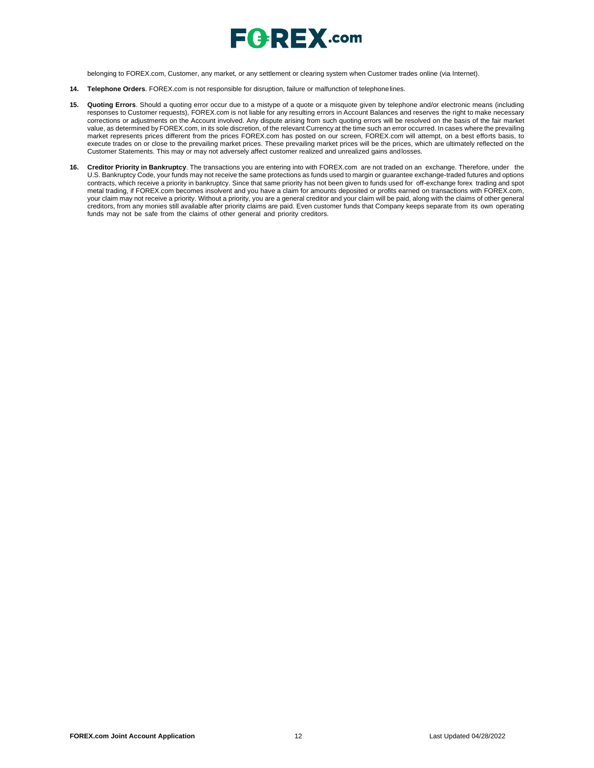

belonging to FOREX.com, Customer, any market, or any settlement or clearing system when Customer trades online (via Internet).

- **14. Telephone Orders**. FOREX.com is not responsible for disruption, failure or malfunction of telephonelines.
- **15. Quoting Errors**. Should a quoting error occur due to a mistype of a quote or a misquote given by telephone and/or electronic means (including responses to Customer requests), FOREX.com is not liable for any resulting errors in Account Balances and reserves the right to make necessary corrections or adjustments on the Account involved. Any dispute arising from such quoting errors will be resolved on the basis of the fair market value, as determined by FOREX.com, in its sole discretion, of the relevant Currency at the time such an error occurred. In cases where the prevailing market represents prices different from the prices FOREX.com has posted on our screen, FOREX.com will attempt, on a best efforts basis, to execute trades on or close to the prevailing market prices. These prevailing market prices will be the prices, which are ultimately reflected on the Customer Statements. This may or may not adversely affect customer realized and unrealized gains andlosses.
- **16. Creditor Priority in Bankruptcy**. The transactions you are entering into with FOREX.com are not traded on an exchange. Therefore, under the U.S. Bankruptcy Code, your funds may not receive the same protections as funds used to margin or guarantee exchange-traded futures and options contracts, which receive a priority in bankruptcy. Since that same priority has not been given to funds used for off-exchange forex trading and spot metal trading, if FOREX.com becomes insolvent and you have a claim for amounts deposited or profits earned on transactions with FOREX.com, your claim may not receive a priority. Without a priority, you are a general creditor and your claim will be paid, along with the claims of other general creditors, from any monies still available after priority claims are paid. Even customer funds that Company keeps separate from its own operating funds may not be safe from the claims of other general and priority creditors.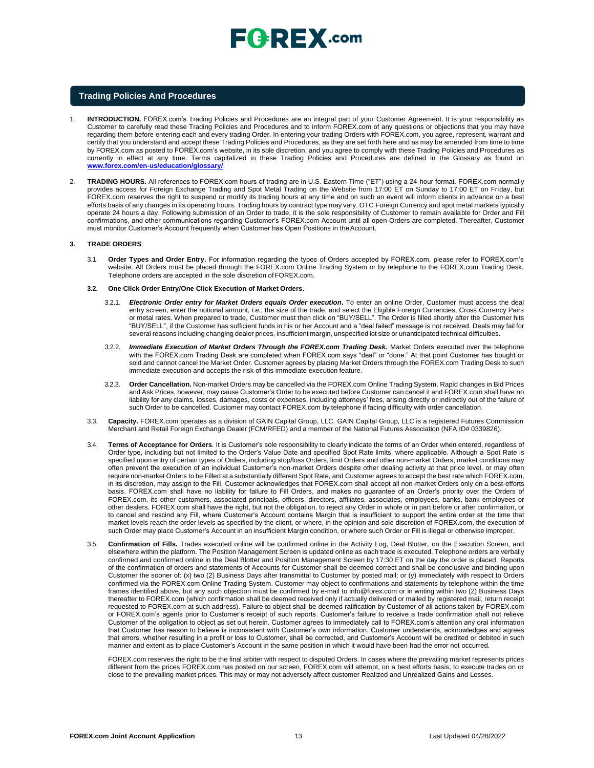

### **Trading Policies And Procedures**

- 1. **INTRODUCTION.** FOREX.com's Trading Policies and Procedures are an integral part of your Customer Agreement. It is your responsibility as Customer to carefully read these Trading Policies and Procedures and to inform FOREX.com of any questions or objections that you may have regarding them before entering each and every trading Order. In entering your trading Orders with FOREX.com, you agree, represent, warrant and certify that you understand and accept these Trading Policies and Procedures, as they are set forth here and as may be amended from time to time by FOREX.com as posted to FOREX.com's website, in its sole discretion, and you agree to comply with these Trading Policies and Procedures as currently in effect at any time. Terms capitalized in these Trading Policies and Procedures are defined in the Glossary as found o[n](http://www.forex.com/en-us/education/glossary/) **[www.forex.com/en-us/education/glossary/](http://www.forex.com/en-us/education/glossary/)**.
- 2. **TRADING HOURS.** All references to FOREX.com hours of trading are in U.S. Eastern Time ("ET") using a 24-hour format. FOREX.com normally provides access for Foreign Exchange Trading and Spot Metal Trading on the Website from 17:00 ET on Sunday to 17:00 ET on Friday, but FOREX.com reserves the right to suspend or modify its trading hours at any time and on such an event will inform clients in advance on a best efforts basis of any changes in its operating hours. Trading hours by contract type may vary. OTC Foreign Currency and spot metal markets typically operate 24 hours a day. Following submission of an Order to trade, it is the sole responsibility of Customer to remain available for Order and Fill confirmations, and other communications regarding Customer's FOREX.com Account until all open Orders are completed. Thereafter, Customer must monitor Customer's Account frequently when Customer has Open Positions in theAccount.

#### **3. TRADE ORDERS**

- 3.1. **Order Types and Order Entry.** For information regarding the types of Orders accepted by FOREX.com, please refer to FOREX.com's website. All Orders must be placed through the FOREX.com Online Trading System or by telephone to the FOREX.com Trading Desk. Telephone orders are accepted in the sole discretion ofFOREX.com.
- **3.2. One Click Order Entry/One Click Execution of Market Orders.**
	- 3.2.1. *Electronic Order entry for Market Orders equals Order execution***.** To enter an online Order, Customer must access the deal entry screen, enter the notional amount, *i.e.*, the size of the trade, and select the Eligible Foreign Currencies, Cross Currency Pairs or metal rates. When prepared to trade, Customer must then click on "BUY/SELL". The Order is filled shortly after the Customer hits "BUY/SELL", if the Customer has sufficient funds in his or her Account and a "deal failed" message is not received. Deals may fail for several reasons including changing dealer prices, insufficient margin, unspecified lot size or unanticipated technical difficulties
	- 3.2.2. *Immediate Execution of Market Orders Through the FOREX.com Trading Desk.* Market Orders executed over the telephone with the FOREX.com Trading Desk are completed when FOREX.com says "deal" or "done." At that point Customer has bought or sold and cannot cancel the Market Order. Customer agrees by placing Market Orders through the FOREX.com Trading Desk to such immediate execution and accepts the risk of this immediate execution feature.
	- 3.2.3. **Order Cancellation.** Non-market Orders may be cancelled via the FOREX.com Online Trading System. Rapid changes in Bid Prices and Ask Prices, however, may cause Customer's Order to be executed before Customer can cancel it and FOREX.com shall have no liability for any claims, losses, damages, costs or expenses, including attorneys' fees, arising directly or indirectly out of the failure of such Order to be cancelled. Customer may contact FOREX.com by telephone if facing difficulty with order cancellation.
- 3.3. **Capacity.** FOREX.com operates as a division of GAIN Capital Group, LLC. GAIN Capital Group, LLC is a registered Futures Commission Merchant and Retail Foreign Exchange Dealer (FCM/RFED) and a member of the National Futures Association (NFA ID# 0339826).
- 3.4. **Terms of Acceptance for Orders**. It is Customer's sole responsibility to clearly indicate the terms of an Order when entered, regardless of Order type, including but not limited to the Order's Value Date and specified Spot Rate limits, where applicable. Although a Spot Rate is specified upon entry of certain types of Orders, including stop/loss Orders, limit Orders and other non-market Orders, market conditions may often prevent the execution of an individual Customer's non-market Orders despite other dealing activity at that price level, or may often require non-market Orders to be Filled at a substantially different Spot Rate, and Customer agrees to accept the best rate which FOREX.com, in its discretion, may assign to the Fill. Customer acknowledges that FOREX.com shall accept all non-market Orders only on a best-efforts basis. FOREX.com shall have no liability for failure to Fill Orders, and makes no guarantee of an Order's priority over the Orders of FOREX.com, its other customers, associated principals, officers, directors, affiliates, associates, employees, banks, bank employees or other dealers. FOREX.com shall have the right, but not the obligation, to reject any Order in whole or in part before or after confirmation, or to cancel and rescind any Fill, where Customer's Account contains Margin that is insufficient to support the entire order at the time that market levels reach the order levels as specified by the client, or where, in the opinion and sole discretion of FOREX.com, the execution of such Order may place Customer's Account in an insufficient Margin condition, or where such Order or Fill is illegal or otherwise improper.
- 3.5. **Confirmation of Fills.** Trades executed online will be confirmed online in the Activity Log, Deal Blotter, on the Execution Screen, and elsewhere within the platform. The Position Management Screen is updated online as each trade is executed. Telephone orders are verbally confirmed and confirmed online in the Deal Blotter and Position Management Screen by 17:30 ET on the day the order is placed. Reports of the confirmation of orders and statements of Accounts for Customer shall be deemed correct and shall be conclusive and binding upon Customer the sooner of: (x) two (2) Business Days after transmittal to Customer by posted mail; or (y) immediately with respect to Orders confirmed via the FOREX.com Online Trading System. Customer may object to confirmations and statements by telephone within the time frames identified above, but any such objection must be confirmed by e-mail t[o info@forex.com o](mailto:info@forex.com)r in writing within two (2) Business Days thereafter to FOREX.com (which confirmation shall be deemed received only if actually delivered or mailed by registered mail, return receipt requested to FOREX.com at such address). Failure to object shall be deemed ratification by Customer of all actions taken by FOREX.com or FOREX.com's agents prior to Customer's receipt of such reports. Customer's failure to receive a trade confirmation shall not relieve Customer of the obligation to object as set out herein. Customer agrees to immediately call to FOREX.com's attention any oral information that Customer has reason to believe is inconsistent with Customer's own information. Customer understands, acknowledges and agrees that errors, whether resulting in a profit or loss to Customer, shall be corrected, and Customer's Account will be credited or debited in such manner and extent as to place Customer's Account in the same position in which it would have been had the error not occurred.

FOREX.com reserves the right to be the final arbiter with respect to disputed Orders. In cases where the prevailing market represents prices different from the prices FOREX.com has posted on our screen, FOREX.com will attempt, on a best efforts basis, to execute trades on or close to the prevailing market prices. This may or may not adversely affect customer Realized and Unrealized Gains and Losses.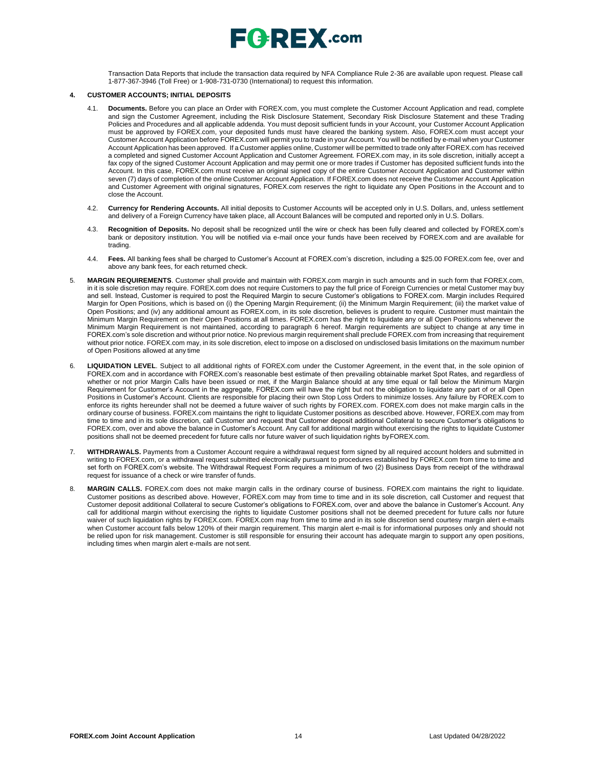

Transaction Data Reports that include the transaction data required by NFA Compliance Rule 2-36 are available upon request. Please call 1-877-367-3946 (Toll Free) or 1-908-731-0730 (International) to request this information.

#### **4. CUSTOMER ACCOUNTS; INITIAL DEPOSITS**

- 4.1. **Documents.** Before you can place an Order with FOREX.com, you must complete the Customer Account Application and read, complete and sign the Customer Agreement, including the Risk Disclosure Statement, Secondary Risk Disclosure Statement and these Trading Policies and Procedures and all applicable addenda. You must deposit sufficient funds in your Account, your Customer Account Application must be approved by FOREX.com, your deposited funds must have cleared the banking system. Also, FOREX.com must accept your Customer Account Application before FOREX.com will permit you to trade in your Account. You will be notified by e-mail when your Customer Account Application has been approved. If a Customer applies online, Customer will be permitted to trade only after FOREX.com has received a completed and signed Customer Account Application and Customer Agreement. FOREX.com may, in its sole discretion, initially accept a fax copy of the signed Customer Account Application and may permit one or more trades if Customer has deposited sufficient funds into the Account. In this case, FOREX.com must receive an original signed copy of the entire Customer Account Application and Customer within seven (7) days of completion of the online Customer Account Application. If FOREX.com does not receive the Customer Account Application and Customer Agreement with original signatures, FOREX.com reserves the right to liquidate any Open Positions in the Account and to close the Account.
- 4.2. **Currency for Rendering Accounts.** All initial deposits to Customer Accounts will be accepted only in U.S. Dollars, and, unless settlement and delivery of a Foreign Currency have taken place, all Account Balances will be computed and reported only in U.S. Dollars.
- 4.3. **Recognition of Deposits.** No deposit shall be recognized until the wire or check has been fully cleared and collected by FOREX.com's bank or depository institution. You will be notified via e-mail once your funds have been received by FOREX.com and are available for trading.
- 4.4. **Fees.** All banking fees shall be charged to Customer's Account at FOREX.com's discretion, including a \$25.00 FOREX.com fee, over and above any bank fees, for each returned check.
- 5. **MARGIN REQUIREMENTS**. Customer shall provide and maintain with FOREX.com margin in such amounts and in such form that FOREX.com, in it is sole discretion may require. FOREX.com does not require Customers to pay the full price of Foreign Currencies or metal Customer may buy and sell. Instead, Customer is required to post the Required Margin to secure Customer's obligations to FOREX.com. Margin includes Required Margin for Open Positions, which is based on (i) the Opening Margin Requirement; (ii) the Minimum Margin Requirement; (iii) the market value of Open Positions; and (iv) any additional amount as FOREX.com, in its sole discretion, believes is prudent to require. Customer must maintain the Minimum Margin Requirement on their Open Positions at all times. FOREX.com has the right to liquidate any or all Open Positions whenever the Minimum Margin Requirement is not maintained, according to paragraph 6 hereof. Margin requirements are subject to change at any time in FOREX.com's sole discretion and without prior notice. No previous margin requirement shall preclude FOREX.com from increasing that requirement without prior notice. FOREX.com may, in its sole discretion, elect to impose on a disclosed on undisclosed basis limitations on the maximum number of Open Positions allowed at any time
- 6. **LIQUIDATION LEVEL**. Subject to all additional rights of FOREX.com under the Customer Agreement, in the event that, in the sole opinion of FOREX.com and in accordance with FOREX.com's reasonable best estimate of then prevailing obtainable market Spot Rates, and regardless of whether or not prior Margin Calls have been issued or met, if the Margin Balance should at any time equal or fall below the Minimum Margin Requirement for Customer's Account in the aggregate, FOREX.com will have the right but not the obligation to liquidate any part of or all Open Positions in Customer's Account. Clients are responsible for placing their own Stop Loss Orders to minimize losses. Any failure by FOREX.com to enforce its rights hereunder shall not be deemed a future waiver of such rights by FOREX.com. FOREX.com does not make margin calls in the ordinary course of business. FOREX.com maintains the right to liquidate Customer positions as described above. However, FOREX.com may from time to time and in its sole discretion, call Customer and request that Customer deposit additional Collateral to secure Customer's obligations to FOREX.com, over and above the balance in Customer's Account. Any call for additional margin without exercising the rights to liquidate Customer positions shall not be deemed precedent for future calls nor future waiver of such liquidation rights byFOREX.com.
- 7. **WITHDRAWALS.** Payments from a Customer Account require a withdrawal request form signed by all required account holders and submitted in writing to FOREX.com, or a withdrawal request submitted electronically pursuant to procedures established by FOREX.com from time to time and set forth on FOREX.com's website. The Withdrawal Request Form requires a minimum of two (2) Business Days from receipt of the withdrawal request for issuance of a check or wire transfer of funds.
- 8. **MARGIN CALLS.** FOREX.com does not make margin calls in the ordinary course of business. FOREX.com maintains the right to liquidate. Customer positions as described above. However, FOREX.com may from time to time and in its sole discretion, call Customer and request that Customer deposit additional Collateral to secure Customer's obligations to FOREX.com, over and above the balance in Customer's Account. Any call for additional margin without exercising the rights to liquidate Customer positions shall not be deemed precedent for future calls nor future waiver of such liquidation rights by FOREX.com. FOREX.com may from time to time and in its sole discretion send courtesy margin alert e-mails when Customer account falls below 120% of their margin requirement. This margin alert e-mail is for informational purposes only and should not be relied upon for risk management. Customer is still responsible for ensuring their account has adequate margin to support any open positions, including times when margin alert e-mails are not sent.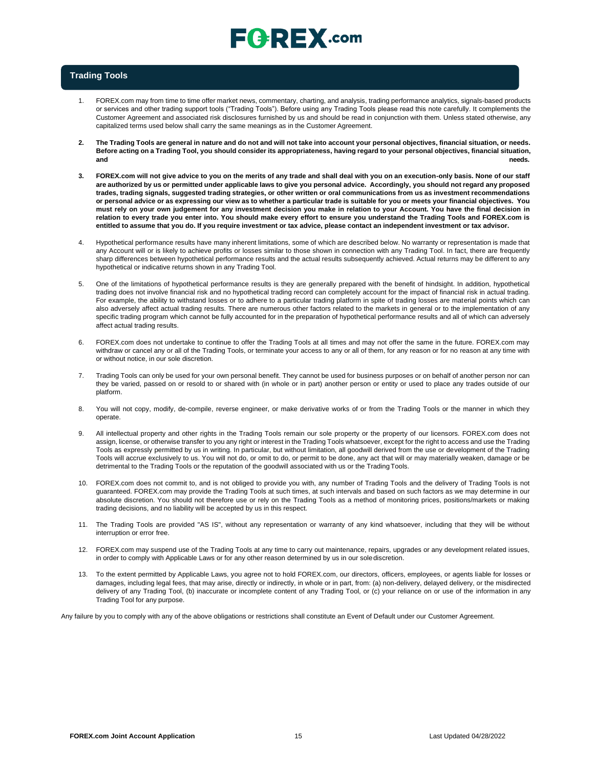### **Trading Tools**

- 1. FOREX.com may from time to time offer market news, commentary, charting, and analysis, trading performance analytics, signals-based products or services and other trading support tools ("Trading Tools"). Before using any Trading Tools please read this note carefully. It complements the Customer Agreement and associated risk disclosures furnished by us and should be read in conjunction with them. Unless stated otherwise, any capitalized terms used below shall carry the same meanings as in the Customer Agreement.
- The Trading Tools are general in nature and do not and will not take into account your personal objectives, financial situation, or needs. Before acting on a Trading Tool, you should consider its appropriateness, having regard to your personal objectives, financial situation, **and needs.**
- **3. FOREX.com will not give advice to you on the merits of any trade and shall deal with you on an execution-only basis. None of our staff**  are authorized by us or permitted under applicable laws to give you personal advice. Accordingly, you should not regard any proposed trades, trading signals, suggested trading strategies, or other written or oral communications from us as investment recommendations or personal advice or as expressing our view as to whether a particular trade is suitable for you or meets your financial objectives. You **must rely on your own judgement for any investment decision you make in relation to your Account. You have the final decision in relation to every trade you enter into. You should make every effort to ensure you understand the Trading Tools and FOREX.com is**  entitled to assume that you do. If you require investment or tax advice, please contact an independent investment or tax advisor.
- 4. Hypothetical performance results have many inherent limitations, some of which are described below. No warranty or representation is made that any Account will or is likely to achieve profits or losses similar to those shown in connection with any Trading Tool. In fact, there are frequently sharp differences between hypothetical performance results and the actual results subsequently achieved. Actual returns may be different to any hypothetical or indicative returns shown in any Trading Tool.
- 5. One of the limitations of hypothetical performance results is they are generally prepared with the benefit of hindsight. In addition, hypothetical trading does not involve financial risk and no hypothetical trading record can completely account for the impact of financial risk in actual trading. For example, the ability to withstand losses or to adhere to a particular trading platform in spite of trading losses are material points which can also adversely affect actual trading results. There are numerous other factors related to the markets in general or to the implementation of any specific trading program which cannot be fully accounted for in the preparation of hypothetical performance results and all of which can adversely affect actual trading results.
- 6. FOREX.com does not undertake to continue to offer the Trading Tools at all times and may not offer the same in the future. FOREX.com may withdraw or cancel any or all of the Trading Tools, or terminate your access to any or all of them, for any reason or for no reason at any time with or without notice, in our sole discretion.
- 7. Trading Tools can only be used for your own personal benefit. They cannot be used for business purposes or on behalf of another person nor can they be varied, passed on or resold to or shared with (in whole or in part) another person or entity or used to place any trades outside of our platform.
- 8. You will not copy, modify, de-compile, reverse engineer, or make derivative works of or from the Trading Tools or the manner in which they operate.
- 9. All intellectual property and other rights in the Trading Tools remain our sole property or the property of our licensors. FOREX.com does not assign, license, or otherwise transfer to you any right or interest in the Trading Tools whatsoever, except for the right to access and use the Trading Tools as expressly permitted by us in writing. In particular, but without limitation, all goodwill derived from the use or development of the Trading Tools will accrue exclusively to us. You will not do, or omit to do, or permit to be done, any act that will or may materially weaken, damage or be detrimental to the Trading Tools or the reputation of the goodwill associated with us or the TradingTools.
- 10. FOREX.com does not commit to, and is not obliged to provide you with, any number of Trading Tools and the delivery of Trading Tools is not guaranteed. FOREX.com may provide the Trading Tools at such times, at such intervals and based on such factors as we may determine in our absolute discretion. You should not therefore use or rely on the Trading Tools as a method of monitoring prices, positions/markets or making trading decisions, and no liability will be accepted by us in this respect.
- 11. The Trading Tools are provided "AS IS", without any representation or warranty of any kind whatsoever, including that they will be without interruption or error free.
- 12. FOREX.com may suspend use of the Trading Tools at any time to carry out maintenance, repairs, upgrades or any development related issues, in order to comply with Applicable Laws or for any other reason determined by us in our sole discretion.
- 13. To the extent permitted by Applicable Laws, you agree not to hold FOREX.com, our directors, officers, employees, or agents liable for losses or damages, including legal fees, that may arise, directly or indirectly, in whole or in part, from: (a) non-delivery, delayed delivery, or the misdirected delivery of any Trading Tool, (b) inaccurate or incomplete content of any Trading Tool, or (c) your reliance on or use of the information in any Trading Tool for any purpose.

Any failure by you to comply with any of the above obligations or restrictions shall constitute an Event of Default under our Customer Agreement.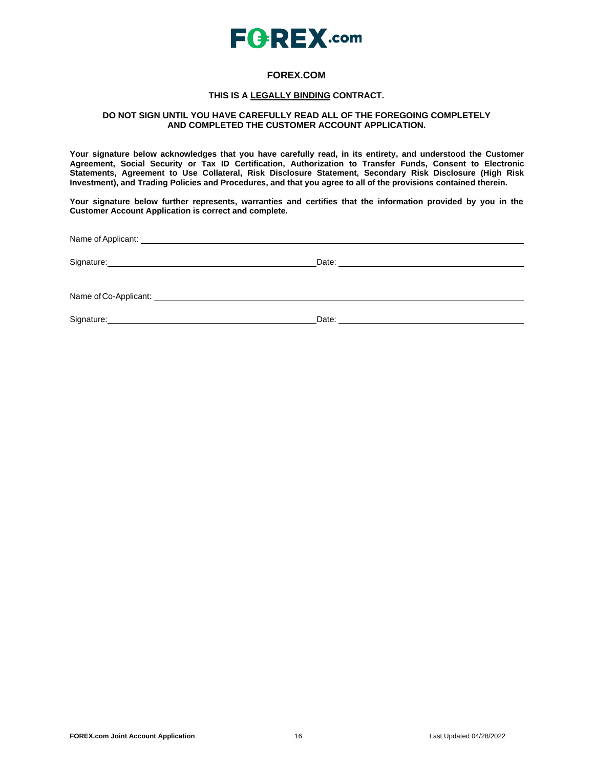

### **FOREX.COM**

### **THIS IS A LEGALLY BINDING CONTRACT.**

### **DO NOT SIGN UNTIL YOU HAVE CAREFULLY READ ALL OF THE FOREGOING COMPLETELY AND COMPLETED THE CUSTOMER ACCOUNT APPLICATION.**

**Your signature below acknowledges that you have carefully read, in its entirety, and understood the Customer Agreement, Social Security or Tax ID Certification, Authorization to Transfer Funds, Consent to Electronic Statements, Agreement to Use Collateral, Risk Disclosure Statement, Secondary Risk Disclosure (High Risk Investment), and Trading Policies and Procedures, and that you agree to all of the provisions contained therein.**

**Your signature below further represents, warranties and certifies that the information provided by you in the Customer Account Application is correct and complete.**

Name ofApplicant:

Signature: Date: Date: Date: Date: Date: Date: Date: Date: Date: Date: Date: Date: Date: Date: Date: Date: Date: Date: Date: Date: Date: Date: Date: Date: Date: Date: Date: Date: Date: Date: Date: Date: Date: Date: Date: D

Name ofCo-Applicant:

Signature: Date: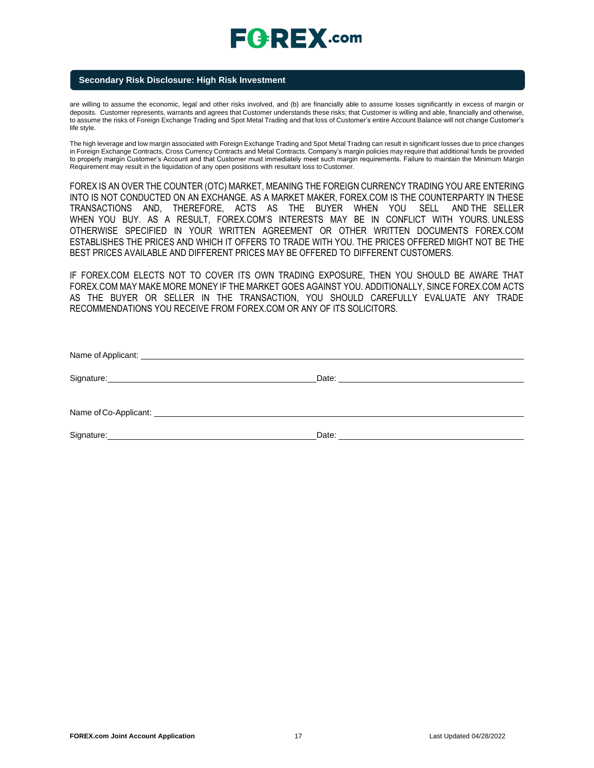### **Secondary Risk Disclosure: High Risk Investment**

are willing to assume the economic, legal and other risks involved, and (b) are financially able to assume losses significantly in excess of margin or deposits. Customer represents, warrants and agrees that Customer understands these risks; that Customer is willing and able, financially and otherwise, to assume the risks of Foreign Exchange Trading and Spot Metal Trading and that loss of Customer's entire Account Balance will not change Customer's life style.

The high leverage and low margin associated with Foreign Exchange Trading and Spot Metal Trading can result in significant losses due to price changes in Foreign Exchange Contracts, Cross Currency Contracts and Metal Contracts. Company's margin policies may require that additional funds be provided to properly margin Customer's Account and that Customer must immediately meet such margin requirements. Failure to maintain the Minimum Margin Requirement may result in the liquidation of any open positions with resultant loss to Customer.

FOREX IS AN OVER THE COUNTER (OTC) MARKET, MEANING THE FOREIGN CURRENCY TRADING YOU ARE ENTERING INTO IS NOT CONDUCTED ON AN EXCHANGE. AS A MARKET MAKER, FOREX.COM IS THE COUNTERPARTY IN THESE TRANSACTIONS AND, THEREFORE, ACTS AS THE BUYER WHEN YOU SELL AND THE SELLER WHEN YOU BUY. AS A RESULT, FOREX.COM'S INTERESTS MAY BE IN CONFLICT WITH YOURS. UNLESS OTHERWISE SPECIFIED IN YOUR WRITTEN AGREEMENT OR OTHER WRITTEN DOCUMENTS FOREX.COM ESTABLISHES THE PRICES AND WHICH IT OFFERS TO TRADE WITH YOU. THE PRICES OFFERED MIGHT NOT BE THE BEST PRICES AVAILABLE AND DIFFERENT PRICES MAY BE OFFERED TO DIFFERENT CUSTOMERS.

IF FOREX.COM ELECTS NOT TO COVER ITS OWN TRADING EXPOSURE, THEN YOU SHOULD BE AWARE THAT FOREX.COM MAY MAKE MORE MONEY IF THE MARKET GOES AGAINST YOU. ADDITIONALLY, SINCE FOREX.COM ACTS AS THE BUYER OR SELLER IN THE TRANSACTION, YOU SHOULD CAREFULLY EVALUATE ANY TRADE RECOMMENDATIONS YOU RECEIVE FROM FOREX.COM OR ANY OF ITS SOLICITORS.

| Signature: <u>Contract Communication</u>                           |                                                                                                                                                                                                                                |  |
|--------------------------------------------------------------------|--------------------------------------------------------------------------------------------------------------------------------------------------------------------------------------------------------------------------------|--|
|                                                                    |                                                                                                                                                                                                                                |  |
| Name of Co-Applicant: <u>contract and a series of Co-Applicant</u> |                                                                                                                                                                                                                                |  |
| Signature: <u>Contract Communication</u>                           | Date: the contract of the contract of the contract of the contract of the contract of the contract of the contract of the contract of the contract of the contract of the contract of the contract of the contract of the cont |  |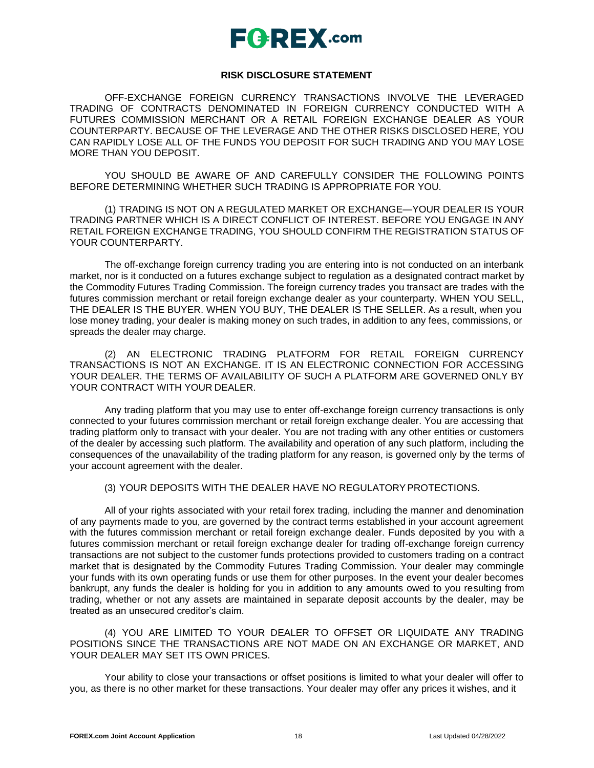### **RISK DISCLOSURE STATEMENT**

OFF-EXCHANGE FOREIGN CURRENCY TRANSACTIONS INVOLVE THE LEVERAGED TRADING OF CONTRACTS DENOMINATED IN FOREIGN CURRENCY CONDUCTED WITH A FUTURES COMMISSION MERCHANT OR A RETAIL FOREIGN EXCHANGE DEALER AS YOUR COUNTERPARTY. BECAUSE OF THE LEVERAGE AND THE OTHER RISKS DISCLOSED HERE, YOU CAN RAPIDLY LOSE ALL OF THE FUNDS YOU DEPOSIT FOR SUCH TRADING AND YOU MAY LOSE MORE THAN YOU DEPOSIT.

YOU SHOULD BE AWARE OF AND CAREFULLY CONSIDER THE FOLLOWING POINTS BEFORE DETERMINING WHETHER SUCH TRADING IS APPROPRIATE FOR YOU.

(1) TRADING IS NOT ON A REGULATED MARKET OR EXCHANGE—YOUR DEALER IS YOUR TRADING PARTNER WHICH IS A DIRECT CONFLICT OF INTEREST. BEFORE YOU ENGAGE IN ANY RETAIL FOREIGN EXCHANGE TRADING, YOU SHOULD CONFIRM THE REGISTRATION STATUS OF YOUR COUNTERPARTY.

The off-exchange foreign currency trading you are entering into is not conducted on an interbank market, nor is it conducted on a futures exchange subject to regulation as a designated contract market by the Commodity Futures Trading Commission. The foreign currency trades you transact are trades with the futures commission merchant or retail foreign exchange dealer as your counterparty. WHEN YOU SELL, THE DEALER IS THE BUYER. WHEN YOU BUY, THE DEALER IS THE SELLER. As a result, when you lose money trading, your dealer is making money on such trades, in addition to any fees, commissions, or spreads the dealer may charge.

(2) AN ELECTRONIC TRADING PLATFORM FOR RETAIL FOREIGN CURRENCY TRANSACTIONS IS NOT AN EXCHANGE. IT IS AN ELECTRONIC CONNECTION FOR ACCESSING YOUR DEALER. THE TERMS OF AVAILABILITY OF SUCH A PLATFORM ARE GOVERNED ONLY BY YOUR CONTRACT WITH YOUR DEALER.

Any trading platform that you may use to enter off-exchange foreign currency transactions is only connected to your futures commission merchant or retail foreign exchange dealer. You are accessing that trading platform only to transact with your dealer. You are not trading with any other entities or customers of the dealer by accessing such platform. The availability and operation of any such platform, including the consequences of the unavailability of the trading platform for any reason, is governed only by the terms of your account agreement with the dealer.

### (3) YOUR DEPOSITS WITH THE DEALER HAVE NO REGULATORYPROTECTIONS.

All of your rights associated with your retail forex trading, including the manner and denomination of any payments made to you, are governed by the contract terms established in your account agreement with the futures commission merchant or retail foreign exchange dealer. Funds deposited by you with a futures commission merchant or retail foreign exchange dealer for trading off-exchange foreign currency transactions are not subject to the customer funds protections provided to customers trading on a contract market that is designated by the Commodity Futures Trading Commission. Your dealer may commingle your funds with its own operating funds or use them for other purposes. In the event your dealer becomes bankrupt, any funds the dealer is holding for you in addition to any amounts owed to you resulting from trading, whether or not any assets are maintained in separate deposit accounts by the dealer, may be treated as an unsecured creditor's claim.

(4) YOU ARE LIMITED TO YOUR DEALER TO OFFSET OR LIQUIDATE ANY TRADING POSITIONS SINCE THE TRANSACTIONS ARE NOT MADE ON AN EXCHANGE OR MARKET, AND YOUR DEALER MAY SET ITS OWN PRICES.

Your ability to close your transactions or offset positions is limited to what your dealer will offer to you, as there is no other market for these transactions. Your dealer may offer any prices it wishes, and it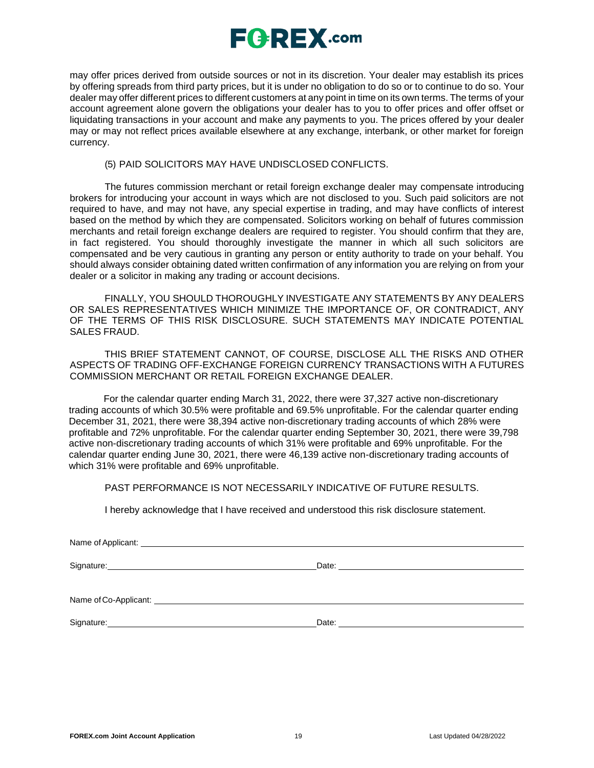

may offer prices derived from outside sources or not in its discretion. Your dealer may establish its prices by offering spreads from third party prices, but it is under no obligation to do so or to continue to do so. Your dealer may offer different prices to different customers at any point in time on its own terms. The terms of your account agreement alone govern the obligations your dealer has to you to offer prices and offer offset or liquidating transactions in your account and make any payments to you. The prices offered by your dealer may or may not reflect prices available elsewhere at any exchange, interbank, or other market for foreign currency.

### (5) PAID SOLICITORS MAY HAVE UNDISCLOSED CONFLICTS.

The futures commission merchant or retail foreign exchange dealer may compensate introducing brokers for introducing your account in ways which are not disclosed to you. Such paid solicitors are not required to have, and may not have, any special expertise in trading, and may have conflicts of interest based on the method by which they are compensated. Solicitors working on behalf of futures commission merchants and retail foreign exchange dealers are required to register. You should confirm that they are, in fact registered. You should thoroughly investigate the manner in which all such solicitors are compensated and be very cautious in granting any person or entity authority to trade on your behalf. You should always consider obtaining dated written confirmation of any information you are relying on from your dealer or a solicitor in making any trading or account decisions.

FINALLY, YOU SHOULD THOROUGHLY INVESTIGATE ANY STATEMENTS BY ANY DEALERS OR SALES REPRESENTATIVES WHICH MINIMIZE THE IMPORTANCE OF, OR CONTRADICT, ANY OF THE TERMS OF THIS RISK DISCLOSURE. SUCH STATEMENTS MAY INDICATE POTENTIAL SALES FRAUD.

THIS BRIEF STATEMENT CANNOT, OF COURSE, DISCLOSE ALL THE RISKS AND OTHER ASPECTS OF TRADING OFF-EXCHANGE FOREIGN CURRENCY TRANSACTIONS WITH A FUTURES COMMISSION MERCHANT OR RETAIL FOREIGN EXCHANGE DEALER.

For the calendar quarter ending March 31, 2022, there were 37,327 active non-discretionary trading accounts of which 30.5% were profitable and 69.5% unprofitable. For the calendar quarter ending December 31, 2021, there were 38,394 active non-discretionary trading accounts of which 28% were profitable and 72% unprofitable. For the calendar quarter ending September 30, 2021, there were 39,798 active non-discretionary trading accounts of which 31% were profitable and 69% unprofitable. For the calendar quarter ending June 30, 2021, there were 46,139 active non-discretionary trading accounts of which 31% were profitable and 69% unprofitable.

PAST PERFORMANCE IS NOT NECESSARILY INDICATIVE OF FUTURE RESULTS.

I hereby acknowledge that I have received and understood this risk disclosure statement.

| Name of Applicant: _ |       |
|----------------------|-------|
|                      |       |
| Signature:           | Date: |

Name of Co-Applicant:  $\blacksquare$ 

Signature: <u>Contract Communications and Contract Communications</u>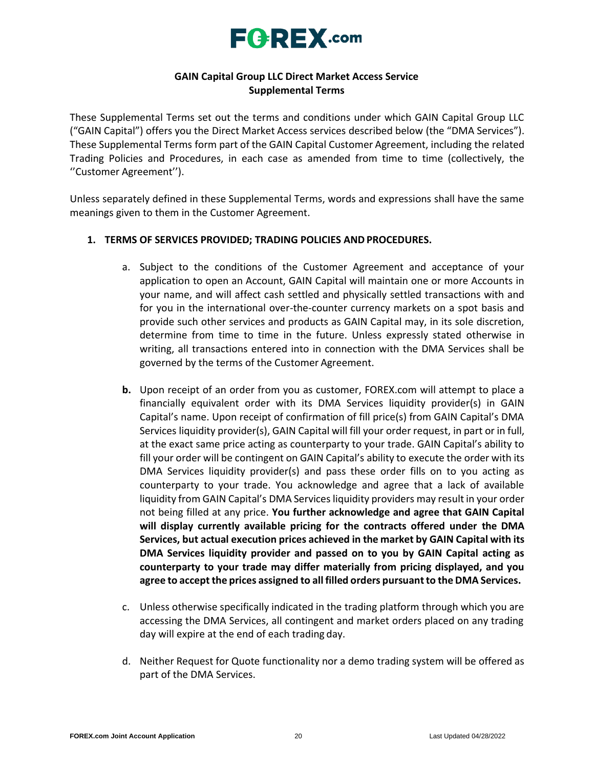

## **GAIN Capital Group LLC Direct Market Access Service Supplemental Terms**

These Supplemental Terms set out the terms and conditions under which GAIN Capital Group LLC ("GAIN Capital") offers you the Direct Market Access services described below (the "DMA Services"). These Supplemental Terms form part of the GAIN Capital Customer Agreement, including the related Trading Policies and Procedures, in each case as amended from time to time (collectively, the ''Customer Agreement'').

Unless separately defined in these Supplemental Terms, words and expressions shall have the same meanings given to them in the Customer Agreement.

## **1. TERMS OF SERVICES PROVIDED; TRADING POLICIES AND PROCEDURES.**

- a. Subject to the conditions of the Customer Agreement and acceptance of your application to open an Account, GAIN Capital will maintain one or more Accounts in your name, and will affect cash settled and physically settled transactions with and for you in the international over-the-counter currency markets on a spot basis and provide such other services and products as GAIN Capital may, in its sole discretion, determine from time to time in the future. Unless expressly stated otherwise in writing, all transactions entered into in connection with the DMA Services shall be governed by the terms of the Customer Agreement.
- **b.** Upon receipt of an order from you as customer, FOREX.com will attempt to place a financially equivalent order with its DMA Services liquidity provider(s) in GAIN Capital's name. Upon receipt of confirmation of fill price(s) from GAIN Capital's DMA Services liquidity provider(s), GAIN Capital will fill your order request, in part or in full, at the exact same price acting as counterparty to your trade. GAIN Capital's ability to fill your order will be contingent on GAIN Capital's ability to execute the order with its DMA Services liquidity provider(s) and pass these order fills on to you acting as counterparty to your trade. You acknowledge and agree that a lack of available liquidity from GAIN Capital's DMA Services liquidity providers may result in your order not being filled at any price. **You further acknowledge and agree that GAIN Capital will display currently available pricing for the contracts offered under the DMA Services, but actual execution prices achieved in the market by GAIN Capital with its DMA Services liquidity provider and passed on to you by GAIN Capital acting as counterparty to your trade may differ materially from pricing displayed, and you agree to accept the prices assigned to all filled orders pursuantto theDMA Services.**
- c. Unless otherwise specifically indicated in the trading platform through which you are accessing the DMA Services, all contingent and market orders placed on any trading day will expire at the end of each trading day.
- d. Neither Request for Quote functionality nor a demo trading system will be offered as part of the DMA Services.